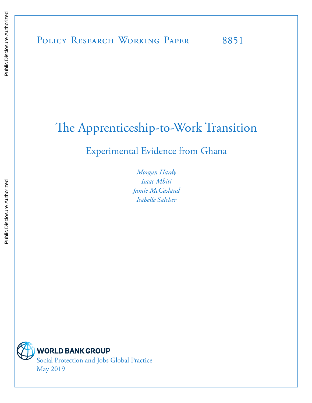# The Apprenticeship-to-Work Transition

## Experimental Evidence from Ghana

*Morgan Hardy Isaac Mbiti Jamie McCasland Isabelle Salcher*



**WORLD BANK GROUP** 

Social Protection and Jobs Global Practice May 2019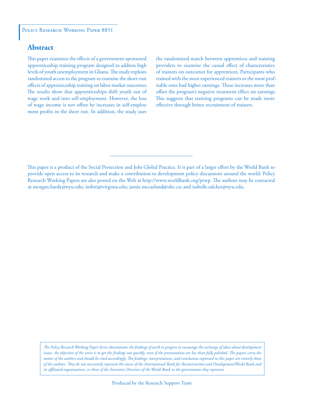### **Abstract**

This paper examines the effects of a government-sponsored apprenticeship training program designed to address high levels of youth unemployment in Ghana. The study exploits randomized access to the program to examine the short-run effects of apprenticeship training on labor market outcomes. The results show that apprenticeships shift youth out of wage work and into self-employment. However, the loss of wage income is not offset by increases in self-employment profits in the short run. In addition, the study uses

the randomized match between apprentices and training providers to examine the causal effect of characteristics of trainers on outcomes for apprentices. Participants who trained with the most experienced trainers or the most profitable ones had higher earnings. These increases more than offset the program's negative treatment effect on earnings. This suggests that training programs can be made more effective through better recruitment of trainers.

This paper is a product of the Social Protection and Jobs Global Practice. It is part of a larger effort by the World Bank to provide open access to its research and make a contribution to development policy discussions around the world. Policy Research Working Papers are also posted on the Web at http://www.worldbank.org/prwp. The authors may be contacted at morgan.hardy@nyu.edu; imbiti@virginia.edu; jamie.mccasland@ubc.ca; and isabelle.salcher@nyu.edu.

*The Policy Research Working Paper Series disseminates the findings of work in progress to encourage the exchange of ideas about development*  issues. An objective of the series is to get the findings out quickly, even if the presentations are less than fully polished. The papers carry the *names of the authors and should be cited accordingly. The findings, interpretations, and conclusions expressed in this paper are entirely those of the authors. They do not necessarily represent the views of the International Bank for Reconstruction and Development/World Bank and its affiliated organizations, or those of the Executive Directors of the World Bank or the governments they represent.*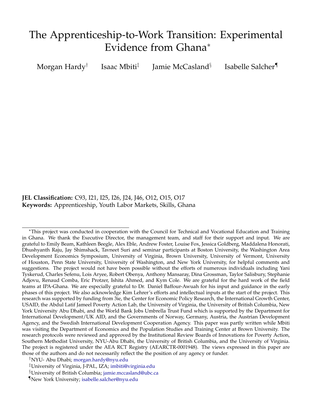## The Apprenticeship-to-Work Transition: Experimental Evidence from Ghana<sup>∗</sup>

Morgan Hardy† Isaac Mbiti‡ Jamie McCasland§ Isabelle Salcher¶

**JEL Classification:** C93, I21, I25, I26, J24, J46, O12, O15, O17 **Keywords:** Apprenticeship, Youth Labor Markets, Skills, Ghana

<sup>∗</sup>This project was conducted in cooperation with the Council for Technical and Vocational Education and Training in Ghana. We thank the Executive Director, the management team, and staff for their support and input. We are grateful to Emily Beam, Kathleen Beegle, Alex Eble, Andrew Foster, Louise Fox, Jessica Goldberg, Maddalena Honorati, Dhushyanth Raju, Jay Shimshack, Tavneet Suri and seminar participants at Boston University, the Washington Area Development Economics Symposium, University of Virginia, Brown University, University of Vermont, University of Houston, Penn State University, University of Washington, and New York University, for helpful comments and suggestions. The project would not have been possible without the efforts of numerous individuals including Yani Tyskerud, Charles Sefenu, Lois Aryee, Robert Obenya, Anthony Mansaray, Dina Grossman, Taylor Salisbury, Stephanie Adjovu, Renaud Comba, Eric Protzer, Ishita Ahmed, and Kym Cole. We are grateful for the hard work of the field teams at IPA-Ghana. We are especially grateful to Dr. Daniel Baffour-Awuah for his input and guidance in the early phases of this project. We also acknowledge Kim Lehrer's efforts and intellectual inputs at the start of the project. This research was supported by funding from 3ie, the Center for Economic Policy Research, the International Growth Center, USAID, the Abdul Latif Jameel Poverty Action Lab, the University of Virginia, the University of British Columbia, New York University Abu Dhabi, and the World Bank Jobs Umbrella Trust Fund which is supported by the Department for International Development/UK AID, and the Governments of Norway, Germany, Austria, the Austrian Development Agency, and the Swedish International Development Cooperation Agency. This paper was partly written while Mbiti was visiting the Department of Economics and the Population Studies and Training Center at Brown University. The research protocols were reviewed and approved by the Institutional Review Boards of Innovations for Poverty Action, Southern Methodist University, NYU-Abu Dhabi, the University of British Columbia, and the University of Virginia. The project is registered under the AEA RCT Registry (AEARCTR-0001948). The views expressed in this paper are those of the authors and do not necessarily reflect the the position of any agency or funder.

†NYU- Abu Dhabi; [morgan.hardy@nyu.edu](mailto:morgan.hardy@nyu.edu)

‡University of Virginia, J-PAL, IZA; [imbiti@virginia.edu](mailto:imbiti@virginia.edu)

<sup>§</sup>University of British Columbia; [jamie.mccasland@ubc.ca](mailto:jamie.mccasland@ubc.ca)

<sup>¶</sup>New York University; [isabelle.salcher@nyu.edu](mailto:isabelle.salcher@nyu.edu)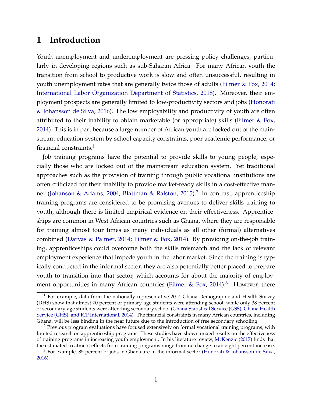### **1 Introduction**

Youth unemployment and underemployment are pressing policy challenges, particularly in developing regions such as sub-Saharan Africa. For many African youth the transition from school to productive work is slow and often unsuccessful, resulting in youth unemployment rates that are generally twice those of adults [\(Filmer & Fox,](#page-25-0) [2014;](#page-25-0) [International Labor Organization Department of Statistics,](#page-26-0) [2018\)](#page-26-0). Moreover, their employment prospects are generally limited to low-productivity sectors and jobs [\(Honorati](#page-26-1) [& Johansson de Silva,](#page-26-1) [2016\)](#page-26-1). The low employability and productivity of youth are often attributed to their inability to obtain marketable (or appropriate) skills [\(Filmer & Fox,](#page-25-0) [2014\)](#page-25-0). This is in part because a large number of African youth are locked out of the mainstream education system by school capacity constraints, poor academic performance, or financial constraints.<sup>[1](#page-3-0)</sup>

Job training programs have the potential to provide skills to young people, especially those who are locked out of the mainstream education system. Yet traditional approaches such as the provision of training through public vocational institutions are often criticized for their inability to provide market-ready skills in a cost-effective man-ner [\(Johanson & Adams,](#page-26-2) [2004;](#page-26-2) [Blattman & Ralston,](#page-25-1) [2015\)](#page-25-1).<sup>[2](#page-3-1)</sup> In contrast, apprenticeship training programs are considered to be promising avenues to deliver skills training to youth, although there is limited empirical evidence on their effectiveness. Apprenticeships are common in West African countries such as Ghana, where they are responsible for training almost four times as many individuals as all other (formal) alternatives combined [\(Darvas & Palmer,](#page-25-2) [2014;](#page-25-2) [Filmer & Fox,](#page-25-0) [2014\)](#page-25-0). By providing on-the-job training, apprenticeships could overcome both the skills mismatch and the lack of relevant employment experience that impede youth in the labor market. Since the training is typically conducted in the informal sector, they are also potentially better placed to prepare youth to transition into that sector, which accounts for about the majority of employ-ment opportunities in many African countries [\(Filmer & Fox,](#page-25-0) [2014\)](#page-25-0).<sup>[3](#page-3-2)</sup>. However, there

<span id="page-3-0"></span> $1$  For example, data from the nationally representative 2014 Ghana Demographic and Health Survey (DHS) show that almost 70 percent of primary-age students were attending school, while only 38 percent of secondary-age students were attending secondary school [\(Ghana Statistical Service \(GSS\), Ghana Health](#page-26-3) [Service \(GHS\), and ICF International,](#page-26-3) [2014\)](#page-26-3). The financial constraints in many African countries, including Ghana, will be less binding in the near future due to the introduction of free secondary schooling.

<span id="page-3-1"></span><sup>&</sup>lt;sup>2</sup> Previous program evaluations have focused extensively on formal vocational training programs, with limited research on apprenticeship programs. These studies have shown mixed results on the effectiveness of training programs in increasing youth employment. In his literature review, [McKenzie](#page-26-4) [\(2017\)](#page-26-4) finds that the estimated treatment effects from training programs range from no change to an eight percent increase.

<span id="page-3-2"></span> $3$  For example, 85 percent of jobs in Ghana are in the informal sector [\(Honorati & Johansson de Silva,](#page-26-1) [2016\)](#page-26-1).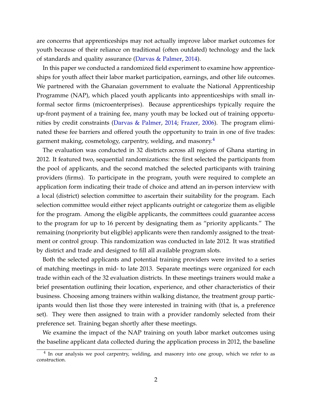are concerns that apprenticeships may not actually improve labor market outcomes for youth because of their reliance on traditional (often outdated) technology and the lack of standards and quality assurance [\(Darvas & Palmer,](#page-25-2) [2014\)](#page-25-2).

In this paper we conducted a randomized field experiment to examine how apprenticeships for youth affect their labor market participation, earnings, and other life outcomes. We partnered with the Ghanaian government to evaluate the National Apprenticeship Programme (NAP), which placed youth applicants into apprenticeships with small informal sector firms (microenterprises). Because apprenticeships typically require the up-front payment of a training fee, many youth may be locked out of training opportunities by credit constraints [\(Darvas & Palmer,](#page-25-2) [2014;](#page-25-2) [Frazer,](#page-25-3) [2006\)](#page-25-3). The program eliminated these fee barriers and offered youth the opportunity to train in one of five trades: garment making, cosmetology, carpentry, welding, and masonry. $4$ 

The evaluation was conducted in 32 districts across all regions of Ghana starting in 2012. It featured two, sequential randomizations: the first selected the participants from the pool of applicants, and the second matched the selected participants with training providers (firms). To participate in the program, youth were required to complete an application form indicating their trade of choice and attend an in-person interview with a local (district) selection committee to ascertain their suitability for the program. Each selection committee would either reject applicants outright or categorize them as eligible for the program. Among the eligible applicants, the committees could guarantee access to the program for up to 16 percent by designating them as "priority applicants." The remaining (nonpriority but eligible) applicants were then randomly assigned to the treatment or control group. This randomization was conducted in late 2012. It was stratified by district and trade and designed to fill all available program slots.

Both the selected applicants and potential training providers were invited to a series of matching meetings in mid- to late 2013. Separate meetings were organized for each trade within each of the 32 evaluation districts. In these meetings trainers would make a brief presentation outlining their location, experience, and other characteristics of their business. Choosing among trainers within walking distance, the treatment group participants would then list those they were interested in training with (that is, a preference set). They were then assigned to train with a provider randomly selected from their preference set. Training began shortly after these meetings.

We examine the impact of the NAP training on youth labor market outcomes using the baseline applicant data collected during the application process in 2012, the baseline

<span id="page-4-0"></span><sup>&</sup>lt;sup>4</sup> In our analysis we pool carpentry, welding, and masonry into one group, which we refer to as construction.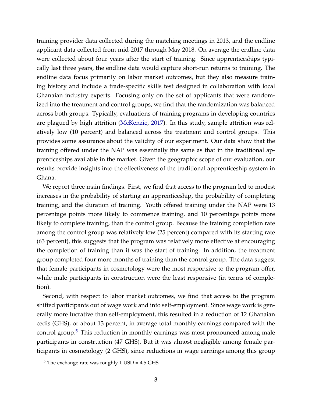training provider data collected during the matching meetings in 2013, and the endline applicant data collected from mid-2017 through May 2018. On average the endline data were collected about four years after the start of training. Since apprenticeships typically last three years, the endline data would capture short-run returns to training. The endline data focus primarily on labor market outcomes, but they also measure training history and include a trade-specific skills test designed in collaboration with local Ghanaian industry experts. Focusing only on the set of applicants that were randomized into the treatment and control groups, we find that the randomization was balanced across both groups. Typically, evaluations of training programs in developing countries are plagued by high attrition [\(McKenzie,](#page-26-4) [2017\)](#page-26-4). In this study, sample attrition was relatively low (10 percent) and balanced across the treatment and control groups. This provides some assurance about the validity of our experiment. Our data show that the training offered under the NAP was essentially the same as that in the traditional apprenticeships available in the market. Given the geographic scope of our evaluation, our results provide insights into the effectiveness of the traditional apprenticeship system in Ghana.

We report three main findings. First, we find that access to the program led to modest increases in the probability of starting an apprenticeship, the probability of completing training, and the duration of training. Youth offered training under the NAP were 13 percentage points more likely to commence training, and 10 percentage points more likely to complete training, than the control group. Because the training completion rate among the control group was relatively low (25 percent) compared with its starting rate (63 percent), this suggests that the program was relatively more effective at encouraging the completion of training than it was the start of training. In addition, the treatment group completed four more months of training than the control group. The data suggest that female participants in cosmetology were the most responsive to the program offer, while male participants in construction were the least responsive (in terms of completion).

Second, with respect to labor market outcomes, we find that access to the program shifted participants out of wage work and into self-employment. Since wage work is generally more lucrative than self-employment, this resulted in a reduction of 12 Ghanaian cedis (GHS), or about 13 percent, in average total monthly earnings compared with the control group.<sup>[5](#page-5-0)</sup> This reduction in monthly earnings was most pronounced among male participants in construction (47 GHS). But it was almost negligible among female participants in cosmetology (2 GHS), since reductions in wage earnings among this group

<span id="page-5-0"></span> $5$  The exchange rate was roughly 1 USD = 4.5 GHS.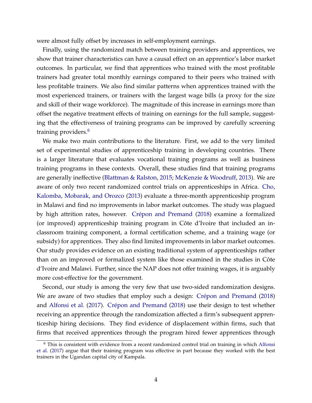were almost fully offset by increases in self-employment earnings.

Finally, using the randomized match between training providers and apprentices, we show that trainer characteristics can have a causal effect on an apprentice's labor market outcomes. In particular, we find that apprentices who trained with the most profitable trainers had greater total monthly earnings compared to their peers who trained with less profitable trainers. We also find similar patterns when apprentices trained with the most experienced trainers, or trainers with the largest wage bills (a proxy for the size and skill of their wage workforce). The magnitude of this increase in earnings more than offset the negative treatment effects of training on earnings for the full sample, suggesting that the effectiveness of training programs can be improved by carefully screening training providers.<sup>[6](#page-6-0)</sup>

We make two main contributions to the literature. First, we add to the very limited set of experimental studies of apprenticeship training in developing countries. There is a larger literature that evaluates vocational training programs as well as business training programs in these contexts. Overall, these studies find that training programs are generally ineffective [\(Blattman & Ralston,](#page-25-1) [2015;](#page-25-1) [McKenzie & Woodruff,](#page-26-5) [2013\)](#page-26-5). We are aware of only two recent randomized control trials on apprenticeships in Africa. [Cho,](#page-25-4) [Kalomba, Mobarak, and Orozco](#page-25-4) [\(2013\)](#page-25-4) evaluate a three-month apprenticeship program in Malawi and find no improvements in labor market outcomes. The study was plagued by high attrition rates, however. Crépon and Premand [\(2018\)](#page-25-5) examine a formalized (or improved) apprenticeship training program in Côte d'Ivoire that included an inclassroom training component, a formal certification scheme, and a training wage (or subsidy) for apprentices. They also find limited improvements in labor market outcomes. Our study provides evidence on an existing traditional system of apprenticeships rather than on an improved or formalized system like those examined in the studies in Côte d'Ivoire and Malawi. Further, since the NAP does not offer training wages, it is arguably more cost-effective for the government.

Second, our study is among the very few that use two-sided randomization designs. We are aware of two studies that employ such a design: Crépon and Premand [\(2018\)](#page-25-5) and [Alfonsi et al.](#page-25-6) [\(2017\)](#page-25-6). Crépon and Premand [\(2018\)](#page-25-5) use their design to test whether receiving an apprentice through the randomization affected a firm's subsequent apprenticeship hiring decisions. They find evidence of displacement within firms, such that firms that received apprentices through the program hired fewer apprentices through

<span id="page-6-0"></span><sup>&</sup>lt;sup>6</sup> This is consistent with evidence from a recent randomized control trial on training in which [Alfonsi](#page-25-6) [et al.](#page-25-6) [\(2017\)](#page-25-6) argue that their training program was effective in part because they worked with the best trainers in the Ugandan capital city of Kampala.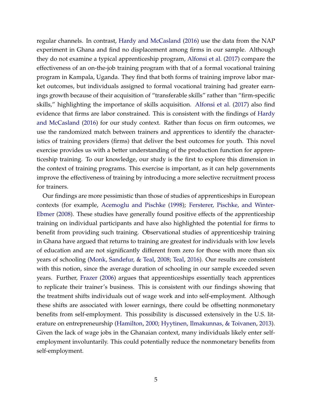regular channels. In contrast, [Hardy and McCasland](#page-26-6) [\(2016\)](#page-26-6) use the data from the NAP experiment in Ghana and find no displacement among firms in our sample. Although they do not examine a typical apprenticeship program, [Alfonsi et al.](#page-25-6) [\(2017\)](#page-25-6) compare the effectiveness of an on-the-job training program with that of a formal vocational training program in Kampala, Uganda. They find that both forms of training improve labor market outcomes, but individuals assigned to formal vocational training had greater earnings growth because of their acquisition of "transferable skills" rather than "firm-specific skills," highlighting the importance of skills acquisition. [Alfonsi et al.](#page-25-6) [\(2017\)](#page-25-6) also find evidence that firms are labor constrained. This is consistent with the findings of [Hardy](#page-26-6) [and McCasland](#page-26-6) [\(2016\)](#page-26-6) for our study context. Rather than focus on firm outcomes, we use the randomized match between trainers and apprentices to identify the characteristics of training providers (firms) that deliver the best outcomes for youth. This novel exercise provides us with a better understanding of the production function for apprenticeship training. To our knowledge, our study is the first to explore this dimension in the context of training programs. This exercise is important, as it can help governments improve the effectiveness of training by introducing a more selective recruitment process for trainers.

Our findings are more pessimistic than those of studies of apprenticeships in European contexts (for example, [Acemoglu and Pischke](#page-25-7) [\(1998\)](#page-25-7); [Fersterer, Pischke, and Winter-](#page-25-8)[Ebmer](#page-25-8) [\(2008\)](#page-25-8). These studies have generally found positive effects of the apprenticeship training on individual participants and have also highlighted the potential for firms to benefit from providing such training. Observational studies of apprenticeship training in Ghana have argued that returns to training are greatest for individuals with low levels of education and are not significantly different from zero for those with more than six years of schooling [\(Monk, Sandefur, & Teal,](#page-27-0) [2008;](#page-27-0) [Teal,](#page-27-1) [2016\)](#page-27-1). Our results are consistent with this notion, since the average duration of schooling in our sample exceeded seven years. Further, [Frazer](#page-25-3) [\(2006\)](#page-25-3) argues that apprenticeships essentially teach apprentices to replicate their trainer's business. This is consistent with our findings showing that the treatment shifts individuals out of wage work and into self-employment. Although these shifts are associated with lower earnings, there could be offsetting nonmonetary benefits from self-employment. This possibility is discussed extensively in the U.S. literature on entrepreneurship [\(Hamilton,](#page-26-7) [2000;](#page-26-7) [Hyytinen, Ilmakunnas, & Toivanen,](#page-26-8) [2013\)](#page-26-8). Given the lack of wage jobs in the Ghanaian context, many individuals likely enter selfemployment involuntarily. This could potentially reduce the nonmonetary benefits from self-employment.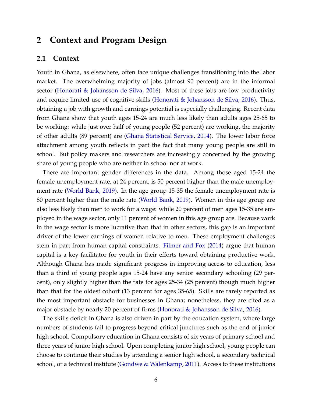### **2 Context and Program Design**

#### **2.1 Context**

Youth in Ghana, as elsewhere, often face unique challenges transitioning into the labor market. The overwhelming majority of jobs (almost 90 percent) are in the informal sector [\(Honorati & Johansson de Silva,](#page-26-1) [2016\)](#page-26-1). Most of these jobs are low productivity and require limited use of cognitive skills [\(Honorati & Johansson de Silva,](#page-26-1) [2016\)](#page-26-1). Thus, obtaining a job with growth and earnings potential is especially challenging. Recent data from Ghana show that youth ages 15-24 are much less likely than adults ages 25-65 to be working: while just over half of young people (52 percent) are working, the majority of other adults (89 percent) are [\(Ghana Statistical Service,](#page-25-9) [2014\)](#page-25-9). The lower labor force attachment among youth reflects in part the fact that many young people are still in school. But policy makers and researchers are increasingly concerned by the growing share of young people who are neither in school nor at work.

There are important gender differences in the data. Among those aged 15-24 the female unemployment rate, at 24 percent, is 50 percent higher than the male unemployment rate [\(World Bank,](#page-27-2) [2019\)](#page-27-2). In the age group 15-35 the female unemployment rate is 80 percent higher than the male rate [\(World Bank,](#page-27-2) [2019\)](#page-27-2). Women in this age group are also less likely than men to work for a wage: while 20 percent of men ages 15-35 are employed in the wage sector, only 11 percent of women in this age group are. Because work in the wage sector is more lucrative than that in other sectors, this gap is an important driver of the lower earnings of women relative to men. These employment challenges stem in part from human capital constraints. [Filmer and Fox](#page-25-0) [\(2014\)](#page-25-0) argue that human capital is a key facilitator for youth in their efforts toward obtaining productive work. Although Ghana has made significant progress in improving access to education, less than a third of young people ages 15-24 have any senior secondary schooling (29 percent), only slightly higher than the rate for ages 25-34 (25 percent) though much higher than that for the oldest cohort (13 percent for ages 35-65). Skills are rarely reported as the most important obstacle for businesses in Ghana; nonetheless, they are cited as a major obstacle by nearly 20 percent of firms [\(Honorati & Johansson de Silva,](#page-26-1) [2016\)](#page-26-1).

The skills deficit in Ghana is also driven in part by the education system, where large numbers of students fail to progress beyond critical junctures such as the end of junior high school. Compulsory education in Ghana consists of six years of primary school and three years of junior high school. Upon completing junior high school, young people can choose to continue their studies by attending a senior high school, a secondary technical school, or a technical institute [\(Gondwe & Walenkamp,](#page-26-9) [2011\)](#page-26-9). Access to these institutions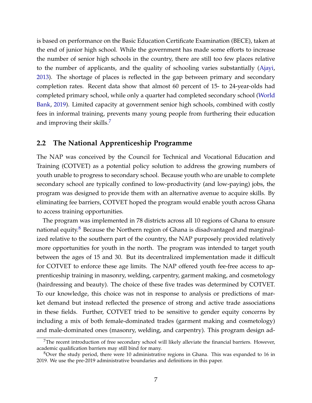is based on performance on the Basic Education Certificate Examination (BECE), taken at the end of junior high school. While the government has made some efforts to increase the number of senior high schools in the country, there are still too few places relative to the number of applicants, and the quality of schooling varies substantially [\(Ajayi,](#page-25-10) [2013\)](#page-25-10). The shortage of places is reflected in the gap between primary and secondary completion rates. Recent data show that almost 60 percent of 15- to 24-year-olds had completed primary school, while only a quarter had completed secondary school [\(World](#page-27-2) [Bank,](#page-27-2) [2019\)](#page-27-2). Limited capacity at government senior high schools, combined with costly fees in informal training, prevents many young people from furthering their education and improving their skills.<sup>[7](#page-9-0)</sup>

### **2.2 The National Apprenticeship Programme**

The NAP was conceived by the Council for Technical and Vocational Education and Training (COTVET) as a potential policy solution to address the growing numbers of youth unable to progress to secondary school. Because youth who are unable to complete secondary school are typically confined to low-productivity (and low-paying) jobs, the program was designed to provide them with an alternative avenue to acquire skills. By eliminating fee barriers, COTVET hoped the program would enable youth across Ghana to access training opportunities.

The program was implemented in 78 districts across all 10 regions of Ghana to ensure national equity.<sup>[8](#page-9-1)</sup> Because the Northern region of Ghana is disadvantaged and marginalized relative to the southern part of the country, the NAP purposely provided relatively more opportunities for youth in the north. The program was intended to target youth between the ages of 15 and 30. But its decentralized implementation made it difficult for COTVET to enforce these age limits. The NAP offered youth fee-free access to apprenticeship training in masonry, welding, carpentry, garment making, and cosmetology (hairdressing and beauty). The choice of these five trades was determined by COTVET. To our knowledge, this choice was not in response to analysis or predictions of market demand but instead reflected the presence of strong and active trade associations in these fields. Further, COTVET tried to be sensitive to gender equity concerns by including a mix of both female-dominated trades (garment making and cosmetology) and male-dominated ones (masonry, welding, and carpentry). This program design ad-

<span id="page-9-0"></span><sup>&</sup>lt;sup>7</sup>The recent introduction of free secondary school will likely alleviate the financial barriers. However, academic qualification barriers may still bind for many.

<span id="page-9-1"></span> $8$ Over the study period, there were 10 administrative regions in Ghana. This was expanded to 16 in 2019. We use the pre-2019 administrative boundaries and definitions in this paper.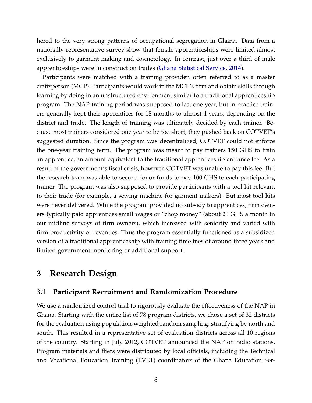hered to the very strong patterns of occupational segregation in Ghana. Data from a nationally representative survey show that female apprenticeships were limited almost exclusively to garment making and cosmetology. In contrast, just over a third of male apprenticeships were in construction trades [\(Ghana Statistical Service,](#page-25-9) [2014\)](#page-25-9).

Participants were matched with a training provider, often referred to as a master craftsperson (MCP). Participants would work in the MCP's firm and obtain skills through learning by doing in an unstructured environment similar to a traditional apprenticeship program. The NAP training period was supposed to last one year, but in practice trainers generally kept their apprentices for 18 months to almost 4 years, depending on the district and trade. The length of training was ultimately decided by each trainer. Because most trainers considered one year to be too short, they pushed back on COTVET's suggested duration. Since the program was decentralized, COTVET could not enforce the one-year training term. The program was meant to pay trainers 150 GHS to train an apprentice, an amount equivalent to the traditional apprenticeship entrance fee. As a result of the government's fiscal crisis, however, COTVET was unable to pay this fee. But the research team was able to secure donor funds to pay 100 GHS to each participating trainer. The program was also supposed to provide participants with a tool kit relevant to their trade (for example, a sewing machine for garment makers). But most tool kits were never delivered. While the program provided no subsidy to apprentices, firm owners typically paid apprentices small wages or "chop money" (about 20 GHS a month in our midline surveys of firm owners), which increased with seniority and varied with firm productivity or revenues. Thus the program essentially functioned as a subsidized version of a traditional apprenticeship with training timelines of around three years and limited government monitoring or additional support.

### **3 Research Design**

### **3.1 Participant Recruitment and Randomization Procedure**

We use a randomized control trial to rigorously evaluate the effectiveness of the NAP in Ghana. Starting with the entire list of 78 program districts, we chose a set of 32 districts for the evaluation using population-weighted random sampling, stratifying by north and south. This resulted in a representative set of evaluation districts across all 10 regions of the country. Starting in July 2012, COTVET announced the NAP on radio stations. Program materials and fliers were distributed by local officials, including the Technical and Vocational Education Training (TVET) coordinators of the Ghana Education Ser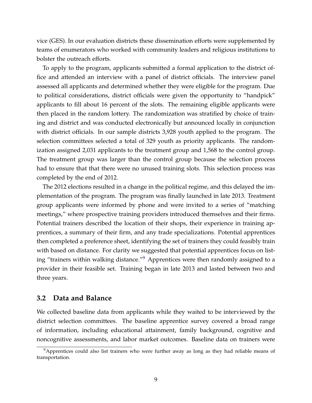vice (GES). In our evaluation districts these dissemination efforts were supplemented by teams of enumerators who worked with community leaders and religious institutions to bolster the outreach efforts.

To apply to the program, applicants submitted a formal application to the district office and attended an interview with a panel of district officials. The interview panel assessed all applicants and determined whether they were eligible for the program. Due to political considerations, district officials were given the opportunity to "handpick" applicants to fill about 16 percent of the slots. The remaining eligible applicants were then placed in the random lottery. The randomization was stratified by choice of training and district and was conducted electronically but announced locally in conjunction with district officials. In our sample districts 3,928 youth applied to the program. The selection committees selected a total of 329 youth as priority applicants. The randomization assigned 2,031 applicants to the treatment group and 1,568 to the control group. The treatment group was larger than the control group because the selection process had to ensure that that there were no unused training slots. This selection process was completed by the end of 2012.

The 2012 elections resulted in a change in the political regime, and this delayed the implementation of the program. The program was finally launched in late 2013. Treatment group applicants were informed by phone and were invited to a series of "matching meetings," where prospective training providers introduced themselves and their firms. Potential trainers described the location of their shops, their experience in training apprentices, a summary of their firm, and any trade specializations. Potential apprentices then completed a preference sheet, identifying the set of trainers they could feasibly train with based on distance. For clarity we suggested that potential apprentices focus on listing "trainers within walking distance."[9](#page-11-0) Apprentices were then randomly assigned to a provider in their feasible set. Training began in late 2013 and lasted between two and three years.

#### **3.2 Data and Balance**

We collected baseline data from applicants while they waited to be interviewed by the district selection committees. The baseline apprentice survey covered a broad range of information, including educational attainment, family background, cognitive and noncognitive assessments, and labor market outcomes. Baseline data on trainers were

<span id="page-11-0"></span> $9$ Apprentices could also list trainers who were further away as long as they had reliable means of transportation.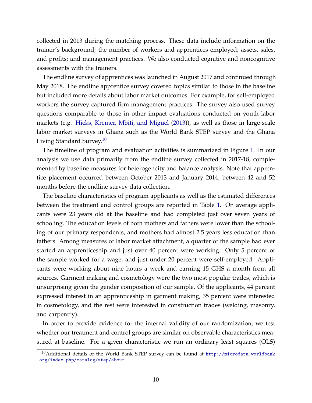collected in 2013 during the matching process. These data include information on the trainer's background; the number of workers and apprentices employed; assets, sales, and profits; and management practices. We also conducted cognitive and noncognitive assessments with the trainers.

The endline survey of apprentices was launched in August 2017 and continued through May 2018. The endline apprentice survey covered topics similar to those in the baseline but included more details about labor market outcomes. For example, for self-employed workers the survey captured firm management practices. The survey also used survey questions comparable to those in other impact evaluations conducted on youth labor markets (e.g. [Hicks, Kremer, Mbiti, and Miguel](#page-26-10) [\(2013\)](#page-26-10)), as well as those in large-scale labor market surveys in Ghana such as the World Bank STEP survey and the Ghana Living Standard Survey.<sup>[10](#page-12-0)</sup>

The timeline of program and evaluation activities is summarized in Figure [1.](#page-28-0) In our analysis we use data primarily from the endline survey collected in 2017-18, complemented by baseline measures for heterogeneity and balance analysis. Note that apprentice placement occurred between October 2013 and January 2014, between 42 and 52 months before the endline survey data collection.

The baseline characteristics of program applicants as well as the estimated differences between the treatment and control groups are reported in Table [1.](#page-30-0) On average applicants were 23 years old at the baseline and had completed just over seven years of schooling. The education levels of both mothers and fathers were lower than the schooling of our primary respondents, and mothers had almost 2.5 years less education than fathers. Among measures of labor market attachment, a quarter of the sample had ever started an apprenticeship and just over 40 percent were working. Only 5 percent of the sample worked for a wage, and just under 20 percent were self-employed. Applicants were working about nine hours a week and earning 15 GHS a month from all sources. Garment making and cosmetology were the two most popular trades, which is unsurprising given the gender composition of our sample. Of the applicants, 44 percent expressed interest in an apprenticeship in garment making, 35 percent were interested in cosmetology, and the rest were interested in construction trades (welding, masonry, and carpentry).

In order to provide evidence for the internal validity of our randomization, we test whether our treatment and control groups are similar on observable characteristics measured at baseline. For a given characteristic we run an ordinary least squares (OLS)

<span id="page-12-0"></span> $10$ Additional details of the World Bank STEP survey can be found at [http://microdata.worldbank](http://microdata.worldbank.org/index.php/catalog/step/about) [.org/index.php/catalog/step/about](http://microdata.worldbank.org/index.php/catalog/step/about).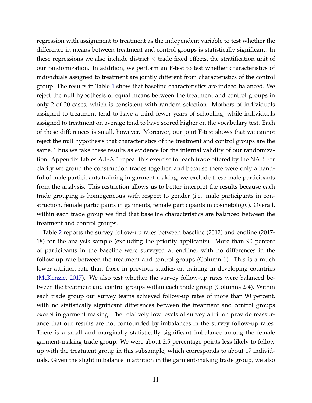regression with assignment to treatment as the independent variable to test whether the difference in means between treatment and control groups is statistically significant. In these regressions we also include district  $\times$  trade fixed effects, the stratification unit of our randomization. In addition, we perform an F-test to test whether characteristics of individuals assigned to treatment are jointly different from characteristics of the control group. The results in Table [1](#page-30-0) show that baseline characteristics are indeed balanced. We reject the null hypothesis of equal means between the treatment and control groups in only 2 of 20 cases, which is consistent with random selection. Mothers of individuals assigned to treatment tend to have a third fewer years of schooling, while individuals assigned to treatment on average tend to have scored higher on the vocabulary test. Each of these differences is small, however. Moreover, our joint F-test shows that we cannot reject the null hypothesis that characteristics of the treatment and control groups are the same. Thus we take these results as evidence for the internal validity of our randomization. Appendix Tables A.1-A.3 repeat this exercise for each trade offered by the NAP. For clarity we group the construction trades together, and because there were only a handful of male participants training in garment making, we exclude these male participants from the analysis. This restriction allows us to better interpret the results because each trade grouping is homogeneous with respect to gender (i.e. male participants in construction, female participants in garments, female participants in cosmetology). Overall, within each trade group we find that baseline characteristics are balanced between the treatment and control groups.

Table [2](#page-31-0) reports the survey follow-up rates between baseline (2012) and endline (2017- 18) for the analysis sample (excluding the priority applicants). More than 90 percent of participants in the baseline were surveyed at endline, with no differences in the follow-up rate between the treatment and control groups (Column 1). This is a much lower attrition rate than those in previous studies on training in developing countries [\(McKenzie,](#page-26-4) [2017\)](#page-26-4). We also test whether the survey follow-up rates were balanced between the treatment and control groups within each trade group (Columns 2-4). Within each trade group our survey teams achieved follow-up rates of more than 90 percent, with no statistically significant differences between the treatment and control groups except in garment making. The relatively low levels of survey attrition provide reassurance that our results are not confounded by imbalances in the survey follow-up rates. There is a small and marginally statistically significant imbalance among the female garment-making trade group. We were about 2.5 percentage points less likely to follow up with the treatment group in this subsample, which corresponds to about 17 individuals. Given the slight imbalance in attrition in the garment-making trade group, we also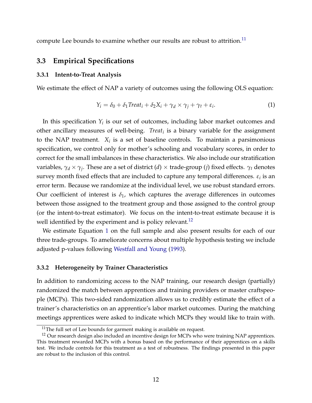compute Lee bounds to examine whether our results are robust to attrition.<sup>[11](#page-14-0)</sup>

#### **3.3 Empirical Specifications**

#### **3.3.1 Intent-to-Treat Analysis**

We estimate the effect of NAP a variety of outcomes using the following OLS equation:

<span id="page-14-2"></span>
$$
Y_i = \delta_0 + \delta_1 \text{Treat}_i + \delta_2 X_i + \gamma_d \times \gamma_j + \gamma_t + \varepsilon_i. \tag{1}
$$

In this specification  $Y_i$  is our set of outcomes, including labor market outcomes and other ancillary measures of well-being. *Treat<sup>i</sup>* is a binary variable for the assignment to the NAP treatment. *X<sup>i</sup>* is a set of baseline controls. To maintain a parsimonious specification, we control only for mother's schooling and vocabulary scores, in order to correct for the small imbalances in these characteristics. We also include our stratification variables, *γ<sup>d</sup>* × *γ<sup>j</sup>* . These are a set of district (*d*) × trade-group (*j*) fixed effects. *γ<sup>t</sup>* denotes survey month fixed effects that are included to capture any temporal differences.  $\varepsilon_i$  is an error term. Because we randomize at the individual level, we use robust standard errors. Our coefficient of interest is  $\delta_1$ , which captures the average differences in outcomes between those assigned to the treatment group and those assigned to the control group (or the intent-to-treat estimator). We focus on the intent-to-treat estimate because it is well identified by the experiment and is policy relevant.<sup>[12](#page-14-1)</sup>

We estimate Equation [1](#page-14-2) on the full sample and also present results for each of our three trade-groups. To ameliorate concerns about multiple hypothesis testing we include adjusted p-values following [Westfall and Young](#page-27-3) [\(1993\)](#page-27-3).

#### **3.3.2 Heterogeneity by Trainer Characteristics**

In addition to randomizing access to the NAP training, our research design (partially) randomized the match between apprentices and training providers or master craftspeople (MCPs). This two-sided randomization allows us to credibly estimate the effect of a trainer's characteristics on an apprentice's labor market outcomes. During the matching meetings apprentices were asked to indicate which MCPs they would like to train with.

<span id="page-14-1"></span><span id="page-14-0"></span> $11$ The full set of Lee bounds for garment making is available on request.

 $12$  Our research design also included an incentive design for MCPs who were training NAP apprentices. This treatment rewarded MCPs with a bonus based on the performance of their apprentices on a skills test. We include controls for this treatment as a test of robustness. The findings presented in this paper are robust to the inclusion of this control.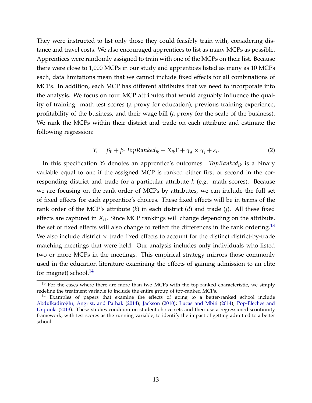They were instructed to list only those they could feasibly train with, considering distance and travel costs. We also encouraged apprentices to list as many MCPs as possible. Apprentices were randomly assigned to train with one of the MCPs on their list. Because there were close to 1,000 MCPs in our study and apprentices listed as many as 10 MCPs each, data limitations mean that we cannot include fixed effects for all combinations of MCPs. In addition, each MCP has different attributes that we need to incorporate into the analysis. We focus on four MCP attributes that would arguably influence the quality of training: math test scores (a proxy for education), previous training experience, profitability of the business, and their wage bill (a proxy for the scale of the business). We rank the MCPs within their district and trade on each attribute and estimate the following regression:

<span id="page-15-2"></span>
$$
Y_i = \beta_0 + \beta_1 \text{TopRanked}_{ik} + X_{ik} \Gamma + \gamma_d \times \gamma_j + \varepsilon_i. \tag{2}
$$

In this specification  $Y_i$  denotes an apprentice's outcomes. *TopRanked*<sub>*ik*</sub> is a binary variable equal to one if the assigned MCP is ranked either first or second in the corresponding district and trade for a particular attribute *k* (e.g. math scores). Because we are focusing on the rank order of MCPs by attributes, we can include the full set of fixed effects for each apprentice's choices. These fixed effects will be in terms of the rank order of the MCP's attribute (*k*) in each district (*d*) and trade (*j*). All these fixed effects are captured in *Xik*. Since MCP rankings will change depending on the attribute, the set of fixed effects will also change to reflect the differences in the rank ordering.<sup>[13](#page-15-0)</sup> We also include district  $\times$  trade fixed effects to account for the distinct district-by-trade matching meetings that were held. Our analysis includes only individuals who listed two or more MCPs in the meetings. This empirical strategy mirrors those commonly used in the education literature examining the effects of gaining admission to an elite (or magnet) school. $^{14}$  $^{14}$  $^{14}$ 

<span id="page-15-0"></span><sup>&</sup>lt;sup>13</sup> For the cases where there are more than two MCPs with the top-ranked characteristic, we simply redefine the treatment variable to include the entire group of top-ranked MCPs.

<span id="page-15-1"></span> $14$  Examples of papers that examine the effects of going to a better-ranked school include Abdulkadiroğlu, Angrist, and Pathak [\(2014\)](#page-26-12); [Jackson](#page-26-11) [\(2010\)](#page-26-11); [Lucas and Mbiti](#page-26-12) (2014); [Pop-Eleches and](#page-27-4) [Urquiola](#page-27-4) [\(2013\)](#page-27-4). These studies condition on student choice sets and then use a regression-discontinuity framework, with test scores as the running variable, to identify the impact of getting admitted to a better school.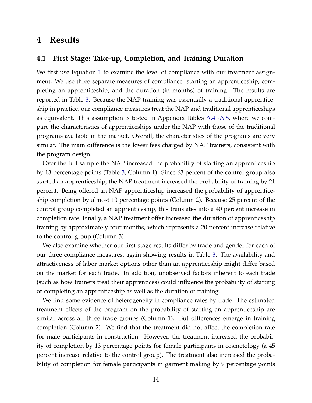### **4 Results**

#### **4.1 First Stage: Take-up, Completion, and Training Duration**

We first use Equation [1](#page-14-2) to examine the level of compliance with our treatment assignment. We use three separate measures of compliance: starting an apprenticeship, completing an apprenticeship, and the duration (in months) of training. The results are reported in Table [3.](#page-32-0) Because the NAP training was essentially a traditional apprenticeship in practice, our compliance measures treat the NAP and traditional apprenticeships as equivalent. This assumption is tested in Appendix Tables [A.4](#page-43-0) [-A.5,](#page-44-0) where we compare the characteristics of apprenticeships under the NAP with those of the traditional programs available in the market. Overall, the characteristics of the programs are very similar. The main difference is the lower fees charged by NAP trainers, consistent with the program design.

Over the full sample the NAP increased the probability of starting an apprenticeship by 13 percentage points (Table [3,](#page-32-0) Column 1). Since 63 percent of the control group also started an apprenticeship, the NAP treatment increased the probability of training by 21 percent. Being offered an NAP apprenticeship increased the probability of apprenticeship completion by almost 10 percentage points (Column 2). Because 25 percent of the control group completed an apprenticeship, this translates into a 40 percent increase in completion rate. Finally, a NAP treatment offer increased the duration of apprenticeship training by approximately four months, which represents a 20 percent increase relative to the control group (Column 3).

We also examine whether our first-stage results differ by trade and gender for each of our three compliance measures, again showing results in Table [3.](#page-32-0) The availability and attractiveness of labor market options other than an apprenticeship might differ based on the market for each trade. In addition, unobserved factors inherent to each trade (such as how trainers treat their apprentices) could influence the probability of starting or completing an apprenticeship as well as the duration of training.

We find some evidence of heterogeneity in compliance rates by trade. The estimated treatment effects of the program on the probability of starting an apprenticeship are similar across all three trade groups (Column 1). But differences emerge in training completion (Column 2). We find that the treatment did not affect the completion rate for male participants in construction. However, the treatment increased the probability of completion by 13 percentage points for female participants in cosmetology (a 45 percent increase relative to the control group). The treatment also increased the probability of completion for female participants in garment making by 9 percentage points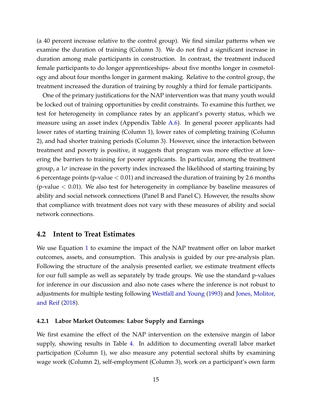(a 40 percent increase relative to the control group). We find similar patterns when we examine the duration of training (Column 3). We do not find a significant increase in duration among male participants in construction. In contrast, the treatment induced female participants to do longer apprenticeships- about five months longer in cosmetology and about four months longer in garment making. Relative to the control group, the treatment increased the duration of training by roughly a third for female participants.

One of the primary justifications for the NAP intervention was that many youth would be locked out of training opportunities by credit constraints. To examine this further, we test for heterogeneity in compliance rates by an applicant's poverty status, which we measure using an asset index (Appendix Table [A.6\)](#page-45-0). In general poorer applicants had lower rates of starting training (Column 1), lower rates of completing training (Column 2), and had shorter training periods (Column 3). However, since the interaction between treatment and poverty is positive, it suggests that program was more effective at lowering the barriers to training for poorer applicants. In particular, among the treatment group, a 1*σ* increase in the poverty index increased the likelihood of starting training by 6 percentage points (p-value  $< 0.01$ ) and increased the duration of training by 2.6 months (p-value  $< 0.01$ ). We also test for heterogeneity in compliance by baseline measures of ability and social network connections (Panel B and Panel C). However, the results show that compliance with treatment does not vary with these measures of ability and social network connections.

#### **4.2 Intent to Treat Estimates**

We use Equation [1](#page-14-2) to examine the impact of the NAP treatment offer on labor market outcomes, assets, and consumption. This analysis is guided by our pre-analysis plan. Following the structure of the analysis presented earlier, we estimate treatment effects for our full sample as well as separately by trade groups. We use the standard p-values for inference in our discussion and also note cases where the inference is not robust to adjustments for multiple testing following [Westfall and Young](#page-27-3) [\(1993\)](#page-27-3) and [Jones, Molitor,](#page-26-13) [and Reif](#page-26-13) [\(2018\)](#page-26-13).

#### **4.2.1 Labor Market Outcomes: Labor Supply and Earnings**

We first examine the effect of the NAP intervention on the extensive margin of labor supply, showing results in Table [4.](#page-33-0) In addition to documenting overall labor market participation (Column 1), we also measure any potential sectoral shifts by examining wage work (Column 2), self-employment (Column 3), work on a participant's own farm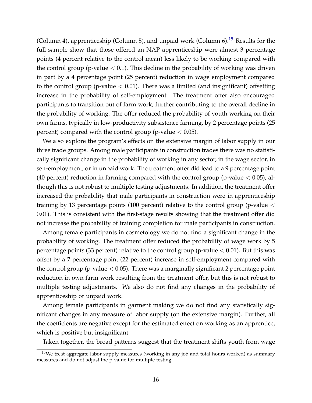(Column 4), apprenticeship (Column 5), and unpaid work (Column 6).<sup>[15](#page-18-0)</sup> Results for the full sample show that those offered an NAP apprenticeship were almost 3 percentage points (4 percent relative to the control mean) less likely to be working compared with the control group (p-value  $< 0.1$ ). This decline in the probability of working was driven in part by a 4 percentage point (25 percent) reduction in wage employment compared to the control group (p-value  $< 0.01$ ). There was a limited (and insignificant) offsetting increase in the probability of self-employment. The treatment offer also encouraged participants to transition out of farm work, further contributing to the overall decline in the probability of working. The offer reduced the probability of youth working on their own farms, typically in low-productivity subsistence farming, by 2 percentage points (25 percent) compared with the control group (p-value  $< 0.05$ ).

We also explore the program's effects on the extensive margin of labor supply in our three trade groups. Among male participants in construction trades there was no statistically significant change in the probability of working in any sector, in the wage sector, in self-employment, or in unpaid work. The treatment offer did lead to a 9 percentage point (40 percent) reduction in farming compared with the control group (p-value  $< 0.05$ ), although this is not robust to multiple testing adjustments. In addition, the treatment offer increased the probability that male participants in construction were in apprenticeship training by 13 percentage points (100 percent) relative to the control group (p-value < 0.01). This is consistent with the first-stage results showing that the treatment offer did not increase the probability of training completion for male participants in construction.

Among female participants in cosmetology we do not find a significant change in the probability of working. The treatment offer reduced the probability of wage work by 5 percentage points (33 percent) relative to the control group (p-value  $< 0.01$ ). But this was offset by a 7 percentage point (22 percent) increase in self-employment compared with the control group (p-value  $< 0.05$ ). There was a marginally significant 2 percentage point reduction in own farm work resulting from the treatment offer, but this is not robust to multiple testing adjustments. We also do not find any changes in the probability of apprenticeship or unpaid work.

Among female participants in garment making we do not find any statistically significant changes in any measure of labor supply (on the extensive margin). Further, all the coefficients are negative except for the estimated effect on working as an apprentice, which is positive but insignificant.

Taken together, the broad patterns suggest that the treatment shifts youth from wage

<span id="page-18-0"></span><sup>&</sup>lt;sup>15</sup>We treat aggregate labor supply measures (working in any job and total hours worked) as summary measures and do not adjust the p-value for multiple testing.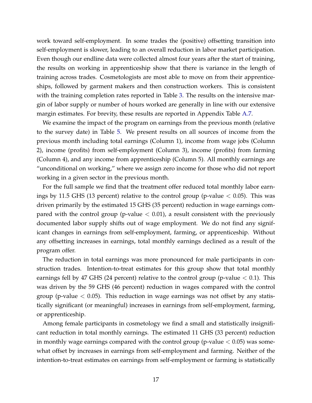work toward self-employment. In some trades the (positive) offsetting transition into self-employment is slower, leading to an overall reduction in labor market participation. Even though our endline data were collected almost four years after the start of training, the results on working in apprenticeship show that there is variance in the length of training across trades. Cosmetologists are most able to move on from their apprenticeships, followed by garment makers and then construction workers. This is consistent with the training completion rates reported in Table [3.](#page-32-0) The results on the intensive margin of labor supply or number of hours worked are generally in line with our extensive margin estimates. For brevity, these results are reported in Appendix Table [A.7.](#page-46-0)

We examine the impact of the program on earnings from the previous month (relative to the survey date) in Table [5.](#page-34-0) We present results on all sources of income from the previous month including total earnings (Column 1), income from wage jobs (Column 2), income (profits) from self-employment (Column 3), income (profits) from farming (Column 4), and any income from apprenticeship (Column 5). All monthly earnings are "unconditional on working," where we assign zero income for those who did not report working in a given sector in the previous month.

For the full sample we find that the treatment offer reduced total monthly labor earnings by 11.5 GHS (13 percent) relative to the control group (p-value  $< 0.05$ ). This was driven primarily by the estimated 15 GHS (35 percent) reduction in wage earnings compared with the control group (p-value  $< 0.01$ ), a result consistent with the previously documented labor supply shifts out of wage employment. We do not find any significant changes in earnings from self-employment, farming, or apprenticeship. Without any offsetting increases in earnings, total monthly earnings declined as a result of the program offer.

The reduction in total earnings was more pronounced for male participants in construction trades. Intention-to-treat estimates for this group show that total monthly earnings fell by 47 GHS (24 percent) relative to the control group (p-value  $< 0.1$ ). This was driven by the 59 GHS (46 percent) reduction in wages compared with the control group (p-value  $< 0.05$ ). This reduction in wage earnings was not offset by any statistically significant (or meaningful) increases in earnings from self-employment, farming, or apprenticeship.

Among female participants in cosmetology we find a small and statistically insignificant reduction in total monthly earnings. The estimated 11 GHS (33 percent) reduction in monthly wage earnings compared with the control group (p-value  $< 0.05$ ) was somewhat offset by increases in earnings from self-employment and farming. Neither of the intention-to-treat estimates on earnings from self-employment or farming is statistically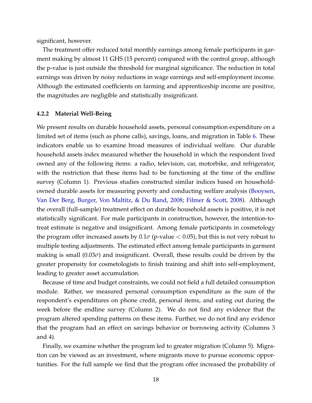significant, however.

The treatment offer reduced total monthly earnings among female participants in garment making by almost 11 GHS (15 percent) compared with the control group, although the p-value is just outside the threshold for marginal significance. The reduction in total earnings was driven by noisy reductions in wage earnings and self-employment income. Although the estimated coefficients on farming and apprenticeship income are positive, the magnitudes are negligible and statistically insignificant.

#### **4.2.2 Material Well-Being**

We present results on durable household assets, personal consumption expenditure on a limited set of items (such as phone calls), savings, loans, and migration in Table [6.](#page-35-0) These indicators enable us to examine broad measures of individual welfare. Our durable household assets index measured whether the household in which the respondent lived owned any of the following items: a radio, television, car, motorbike, and refrigerator, with the restriction that these items had to be functioning at the time of the endline survey (Column 1). Previous studies constructed similar indices based on householdowned durable assets for measuring poverty and conducting welfare analysis [\(Booysen,](#page-25-12) [Van Der Berg, Burger, Von Maltitz, & Du Rand,](#page-25-12) [2008;](#page-25-12) [Filmer & Scott,](#page-25-13) [2008\)](#page-25-13). Although the overall (full-sample) treatment effect on durable household assets is positive, it is not statistically significant. For male participants in construction, however, the intention-totreat estimate is negative and insignificant. Among female participants in cosmetology the program offer increased assets by  $0.1\sigma$  (p-value  $< 0.05$ ), but this is not very robust to multiple testing adjustments. The estimated effect among female participants in garment making is small  $(0.03\sigma)$  and insignificant. Overall, these results could be driven by the greater propensity for cosmetologists to finish training and shift into self-employment, leading to greater asset accumulation.

Because of time and budget constraints, we could not field a full detailed consumption module. Rather, we measured personal consumption expenditure as the sum of the respondent's expenditures on phone credit, personal items, and eating out during the week before the endline survey (Column 2). We do not find any evidence that the program altered spending patterns on these items. Further, we do not find any evidence that the program had an effect on savings behavior or borrowing activity (Columns 3 and 4).

Finally, we examine whether the program led to greater migration (Column 5). Migration can be viewed as an investment, where migrants move to pursue economic opportunities. For the full sample we find that the program offer increased the probability of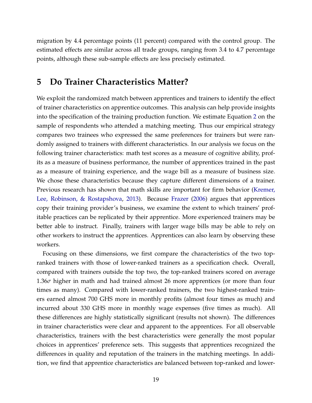migration by 4.4 percentage points (11 percent) compared with the control group. The estimated effects are similar across all trade groups, ranging from 3.4 to 4.7 percentage points, although these sub-sample effects are less precisely estimated.

### **5 Do Trainer Characteristics Matter?**

We exploit the randomized match between apprentices and trainers to identify the effect of trainer characteristics on apprentice outcomes. This analysis can help provide insights into the specification of the training production function. We estimate Equation [2](#page-15-2) on the sample of respondents who attended a matching meeting. Thus our empirical strategy compares two trainees who expressed the same preferences for trainers but were randomly assigned to trainers with different characteristics. In our analysis we focus on the following trainer characteristics: math test scores as a measure of cognitive ability, profits as a measure of business performance, the number of apprentices trained in the past as a measure of training experience, and the wage bill as a measure of business size. We chose these characteristics because they capture different dimensions of a trainer. Previous research has shown that math skills are important for firm behavior [\(Kremer,](#page-26-14) [Lee, Robinson, & Rostapshova,](#page-26-14) [2013\)](#page-26-14). Because [Frazer](#page-25-3) [\(2006\)](#page-25-3) argues that apprentices copy their training provider's business, we examine the extent to which trainers' profitable practices can be replicated by their apprentice. More experienced trainers may be better able to instruct. Finally, trainers with larger wage bills may be able to rely on other workers to instruct the apprentices. Apprentices can also learn by observing these workers.

Focusing on these dimensions, we first compare the characteristics of the two topranked trainers with those of lower-ranked trainers as a specification check. Overall, compared with trainers outside the top two, the top-ranked trainers scored on average 1.36*σ* higher in math and had trained almost 26 more apprentices (or more than four times as many). Compared with lower-ranked trainers, the two highest-ranked trainers earned almost 700 GHS more in monthly profits (almost four times as much) and incurred about 330 GHS more in monthly wage expenses (five times as much). All these differences are highly statistically significant (results not shown). The differences in trainer characteristics were clear and apparent to the apprentices. For all observable characteristics, trainers with the best characteristics were generally the most popular choices in apprentices' preference sets. This suggests that apprentices recognized the differences in quality and reputation of the trainers in the matching meetings. In addition, we find that apprentice characteristics are balanced between top-ranked and lower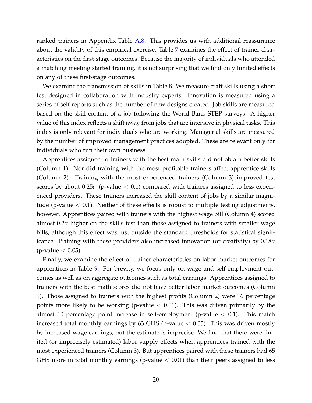ranked trainers in Appendix Table [A.8.](#page-47-0) This provides us with additional reassurance about the validity of this empirical exercise. Table [7](#page-36-0) examines the effect of trainer characteristics on the first-stage outcomes. Because the majority of individuals who attended a matching meeting started training, it is not surprising that we find only limited effects on any of these first-stage outcomes.

We examine the transmission of skills in Table [8.](#page-37-0) We measure craft skills using a short test designed in collaboration with industry experts. Innovation is measured using a series of self-reports such as the number of new designs created. Job skills are measured based on the skill content of a job following the World Bank STEP surveys. A higher value of this index reflects a shift away from jobs that are intensive in physical tasks. This index is only relevant for individuals who are working. Managerial skills are measured by the number of improved management practices adopted. These are relevant only for individuals who run their own business.

Apprentices assigned to trainers with the best math skills did not obtain better skills (Column 1). Nor did training with the most profitable trainers affect apprentice skills (Column 2). Training with the most experienced trainers (Column 3) improved test scores by about  $0.25\sigma$  (p-value  $< 0.1$ ) compared with trainees assigned to less experienced providers. These trainers increased the skill content of jobs by a similar magnitude (p-value  $< 0.1$ ). Neither of these effects is robust to multiple testing adjustments, however. Apprentices paired with trainers with the highest wage bill (Column 4) scored almost 0.2*σ* higher on the skills test than those assigned to trainers with smaller wage bills, although this effect was just outside the standard thresholds for statistical significance. Training with these providers also increased innovation (or creativity) by 0.18*σ*  $(p$ -value  $< 0.05$ ).

Finally, we examine the effect of trainer characteristics on labor market outcomes for apprentices in Table [9.](#page-38-0) For brevity, we focus only on wage and self-employment outcomes as well as on aggregate outcomes such as total earnings. Apprentices assigned to trainers with the best math scores did not have better labor market outcomes (Column 1). Those assigned to trainers with the highest profits (Column 2) were 16 percentage points more likely to be working (p-value  $< 0.01$ ). This was driven primarily by the almost 10 percentage point increase in self-employment (p-value  $< 0.1$ ). This match increased total monthly earnings by 63 GHS (p-value  $<$  0.05). This was driven mostly by increased wage earnings, but the estimate is imprecise. We find that there were limited (or imprecisely estimated) labor supply effects when apprentices trained with the most experienced trainers (Column 3). But apprentices paired with these trainers had 65 GHS more in total monthly earnings (p-value  $< 0.01$ ) than their peers assigned to less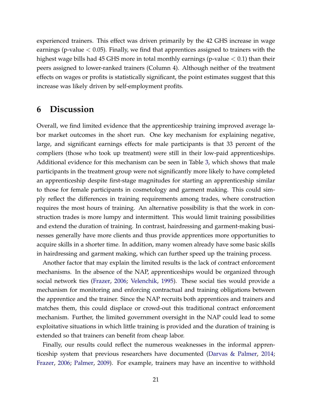experienced trainers. This effect was driven primarily by the 42 GHS increase in wage earnings (p-value  $< 0.05$ ). Finally, we find that apprentices assigned to trainers with the highest wage bills had 45 GHS more in total monthly earnings (p-value  $< 0.1$ ) than their peers assigned to lower-ranked trainers (Column 4). Although neither of the treatment effects on wages or profits is statistically significant, the point estimates suggest that this increase was likely driven by self-employment profits.

### **6 Discussion**

Overall, we find limited evidence that the apprenticeship training improved average labor market outcomes in the short run. One key mechanism for explaining negative, large, and significant earnings effects for male participants is that 33 percent of the compliers (those who took up treatment) were still in their low-paid apprenticeships. Additional evidence for this mechanism can be seen in Table [3,](#page-32-0) which shows that male participants in the treatment group were not significantly more likely to have completed an apprenticeship despite first-stage magnitudes for starting an apprenticeship similar to those for female participants in cosmetology and garment making. This could simply reflect the differences in training requirements among trades, where construction requires the most hours of training. An alternative possibility is that the work in construction trades is more lumpy and intermittent. This would limit training possibilities and extend the duration of training. In contrast, hairdressing and garment-making businesses generally have more clients and thus provide apprentices more opportunities to acquire skills in a shorter time. In addition, many women already have some basic skills in hairdressing and garment making, which can further speed up the training process.

Another factor that may explain the limited results is the lack of contract enforcement mechanisms. In the absence of the NAP, apprenticeships would be organized through social network ties [\(Frazer,](#page-25-3) [2006;](#page-25-3) [Velenchik,](#page-27-5) [1995\)](#page-27-5). These social ties would provide a mechanism for monitoring and enforcing contractual and training obligations between the apprentice and the trainer. Since the NAP recruits both apprentices and trainers and matches them, this could displace or crowd-out this traditional contract enforcement mechanism. Further, the limited government oversight in the NAP could lead to some exploitative situations in which little training is provided and the duration of training is extended so that trainers can benefit from cheap labor.

Finally, our results could reflect the numerous weaknesses in the informal apprenticeship system that previous researchers have documented [\(Darvas & Palmer,](#page-25-2) [2014;](#page-25-2) [Frazer,](#page-25-3) [2006;](#page-25-3) [Palmer,](#page-27-6) [2009\)](#page-27-6). For example, trainers may have an incentive to withhold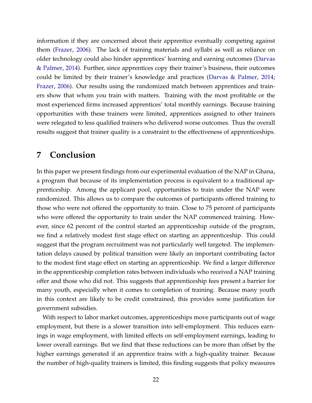information if they are concerned about their apprentice eventually competing against them [\(Frazer,](#page-25-3) [2006\)](#page-25-3). The lack of training materials and syllabi as well as reliance on older technology could also hinder apprentices' learning and earning outcomes [\(Darvas](#page-25-2) [& Palmer,](#page-25-2) [2014\)](#page-25-2). Further, since apprentices copy their trainer's business, their outcomes could be limited by their trainer's knowledge and practices [\(Darvas & Palmer,](#page-25-2) [2014;](#page-25-2) [Frazer,](#page-25-3) [2006\)](#page-25-3). Our results using the randomized match between apprentices and trainers show that whom you train with matters. Training with the most profitable or the most experienced firms increased apprentices' total monthly earnings. Because training opportunities with these trainers were limited, apprentices assigned to other trainers were relegated to less qualified trainers who delivered worse outcomes. Thus the overall results suggest that trainer quality is a constraint to the effectiveness of apprenticeships.

### **7 Conclusion**

In this paper we present findings from our experimental evaluation of the NAP in Ghana, a program that because of its implementation process is equivalent to a traditional apprenticeship. Among the applicant pool, opportunities to train under the NAP were randomized. This allows us to compare the outcomes of participants offered training to those who were not offered the opportunity to train. Close to 75 percent of participants who were offered the opportunity to train under the NAP commenced training. However, since 62 percent of the control started an apprenticeship outside of the program, we find a relatively modest first stage effect on starting an apprenticeship. This could suggest that the program recruitment was not particularly well targeted. The implementation delays caused by political transition were likely an important contributing factor to the modest first stage effect on starting an apprenticeship. We find a larger difference in the apprenticeship completion rates between individuals who received a NAP training offer and those who did not. This suggests that apprenticeship fees present a barrier for many youth, especially when it comes to completion of training. Because many youth in this context are likely to be credit constrained, this provides some justification for government subsidies.

With respect to labor market outcomes, apprenticeships move participants out of wage employment, but there is a slower transition into self-employment. This reduces earnings in wage employment, with limited effects on self-employment earnings, leading to lower overall earnings. But we find that these reductions can be more than offset by the higher earnings generated if an apprentice trains with a high-quality trainer. Because the number of high-quality trainers is limited, this finding suggests that policy measures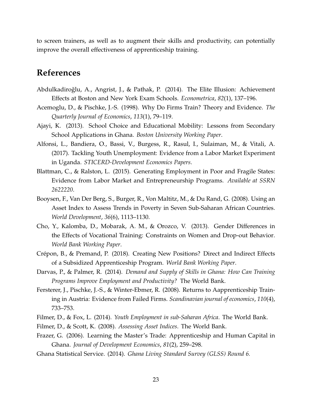to screen trainers, as well as to augment their skills and productivity, can potentially improve the overall effectiveness of apprenticeship training.

### **References**

- <span id="page-25-11"></span>Abdulkadiroğlu, A., Angrist, J., & Pathak, P. (2014). The Elite Illusion: Achievement Effects at Boston and New York Exam Schools. *Econometrica*, *82*(1), 137–196.
- <span id="page-25-7"></span>Acemoglu, D., & Pischke, J.-S. (1998). Why Do Firms Train? Theory and Evidence. *The Quarterly Journal of Economics*, *113*(1), 79–119.
- <span id="page-25-10"></span>Ajayi, K. (2013). School Choice and Educational Mobility: Lessons from Secondary School Applications in Ghana. *Boston University Working Paper*.
- <span id="page-25-6"></span>Alfonsi, L., Bandiera, O., Bassi, V., Burgess, R., Rasul, I., Sulaiman, M., & Vitali, A. (2017). Tackling Youth Unemployment: Evidence from a Labor Market Experiment in Uganda. *STICERD-Development Economics Papers*.
- <span id="page-25-1"></span>Blattman, C., & Ralston, L. (2015). Generating Employment in Poor and Fragile States: Evidence from Labor Market and Entrepreneurship Programs. *Available at SSRN 2622220*.
- <span id="page-25-12"></span>Booysen, F., Van Der Berg, S., Burger, R., Von Maltitz, M., & Du Rand, G. (2008). Using an Asset Index to Assess Trends in Poverty in Seven Sub-Saharan African Countries. *World Development*, *36*(6), 1113–1130.
- <span id="page-25-4"></span>Cho, Y., Kalomba, D., Mobarak, A. M., & Orozco, V. (2013). Gender Differences in the Effects of Vocational Training: Constraints on Women and Drop-out Behavior. *World Bank Working Paper*.
- <span id="page-25-5"></span>Crépon, B., & Premand, P. (2018). Creating New Positions? Direct and Indirect Effects of a Subsidized Apprenticeship Program. *World Bank Working Paper*.
- <span id="page-25-2"></span>Darvas, P., & Palmer, R. (2014). *Demand and Supply of Skills in Ghana: How Can Training Programs Improve Employment and Productivity?* The World Bank.
- <span id="page-25-8"></span>Fersterer, J., Pischke, J.-S., & Winter-Ebmer, R. (2008). Returns to Aapprenticeship Training in Austria: Evidence from Failed Firms. *Scandinavian journal of economics*, *110*(4), 733–753.
- <span id="page-25-13"></span><span id="page-25-0"></span>Filmer, D., & Fox, L. (2014). *Youth Employment in sub-Saharan Africa*. The World Bank.
- <span id="page-25-3"></span>Filmer, D., & Scott, K. (2008). *Assessing Asset Indices*. The World Bank.
- Frazer, G. (2006). Learning the Master's Trade: Apprenticeship and Human Capital in Ghana. *Journal of Development Economics*, *81*(2), 259–298.
- <span id="page-25-9"></span>Ghana Statistical Service. (2014). *Ghana Living Standard Survey (GLSS) Round 6.*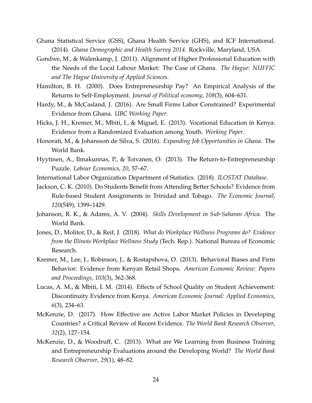- <span id="page-26-3"></span>Ghana Statistical Service (GSS), Ghana Health Service (GHS), and ICF International. (2014). *Ghana Demographic and Health Survey 2014.* Rockville, Maryland, USA.
- <span id="page-26-9"></span>Gondwe, M., & Walenkamp, J. (2011). Alignment of Higher Professional Education with the Needs of the Local Labour Market: The Case of Ghana. *The Hague: NUFFIC and The Hague University of Applied Sciences*.
- <span id="page-26-7"></span>Hamilton, B. H. (2000). Does Entrepreneurship Pay? An Empirical Analysis of the Returns to Self-Employment. *Journal of Political economy*, *108*(3), 604–631.
- <span id="page-26-6"></span>Hardy, M., & McCasland, J. (2016). Are Small Firms Labor Constrained? Experimental Evidence from Ghana. *UBC Working Paper*.
- <span id="page-26-10"></span>Hicks, J. H., Kremer, M., Mbiti, I., & Miguel, E. (2013). Vocational Education in Kenya: Evidence from a Randomized Evaluation among Youth. *Working Paper*.
- <span id="page-26-1"></span>Honorati, M., & Johansson de Silva, S. (2016). *Expanding Job Opportunities in Ghana*. The World Bank.
- <span id="page-26-8"></span>Hyytinen, A., Ilmakunnas, P., & Toivanen, O. (2013). The Return-to-Entrepreneurship Puzzle. *Labour Economics*, *20*, 57–67.
- <span id="page-26-0"></span>International Labor Organization Department of Statistics. (2018). *ILOSTAT Database.*
- <span id="page-26-11"></span>Jackson, C. K. (2010). Do Students Benefit from Attending Better Schools? Evidence from Rule-based Student Assignments in Trinidad and Tobago. *The Economic Journal*, *120*(549), 1399–1429.
- <span id="page-26-2"></span>Johanson, R. K., & Adams, A. V. (2004). *Skills Development in Sub-Saharan Africa*. The World Bank.
- <span id="page-26-13"></span>Jones, D., Molitor, D., & Reif, J. (2018). *What do Workplace Wellness Programs do? Evidence from the Illinois Workplace Wellness Study* (Tech. Rep.). National Bureau of Economic Research.
- <span id="page-26-14"></span>Kremer, M., Lee, J., Robinson, J., & Rostapshova, O. (2013). Behavioral Biases and Firm Behavior: Evidence from Kenyan Retail Shops. *American Economic Review: Papers and Proceedings*, *103*(3), 362-368.
- <span id="page-26-12"></span>Lucas, A. M., & Mbiti, I. M. (2014). Effects of School Quality on Student Achievement: Discontinuity Evidence from Kenya. *American Economic Journal: Applied Economics*, *6*(3), 234–63.
- <span id="page-26-4"></span>McKenzie, D. (2017). How Effective are Active Labor Market Policies in Developing Countries? a Critical Review of Recent Evidence. *The World Bank Research Observer*, *32*(2), 127–154.
- <span id="page-26-5"></span>McKenzie, D., & Woodruff, C. (2013). What are We Learning from Business Training and Entrepreneurship Evaluations around the Developing World? *The World Bank Research Observer*, *29*(1), 48–82.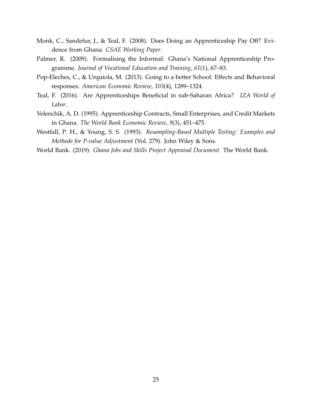- <span id="page-27-0"></span>Monk, C., Sandefur, J., & Teal, F. (2008). Does Doing an Apprenticeship Pay Off? Evidence from Ghana. *CSAE Working Paper*.
- <span id="page-27-6"></span>Palmer, R. (2009). Formalising the Informal: Ghana's National Apprenticeship Programme. *Journal of Vocational Education and Training*, *61*(1), 67–83.
- <span id="page-27-4"></span>Pop-Eleches, C., & Urquiola, M. (2013). Going to a better School: Effects and Behavioral responses. *American Economic Review*, *103*(4), 1289–1324.
- <span id="page-27-1"></span>Teal, F. (2016). Are Apprenticeships Beneficial in sub-Saharan Africa? *IZA World of Labor*.
- <span id="page-27-5"></span>Velenchik, A. D. (1995). Apprenticeship Contracts, Small Enterprises, and Credit Markets in Ghana. *The World Bank Economic Review*, *9*(3), 451–475.
- <span id="page-27-3"></span>Westfall, P. H., & Young, S. S. (1993). *Resampling-Based Multiple Testing: Examples and Methods for P-value Adjustment* (Vol. 279). John Wiley & Sons.
- <span id="page-27-2"></span>World Bank. (2019). *Ghana Jobs and Skills Project Appraisal Document.* The World Bank.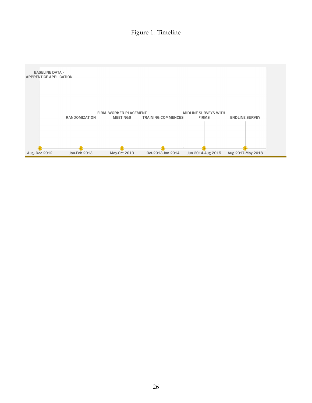### Figure 1: Timeline

<span id="page-28-0"></span>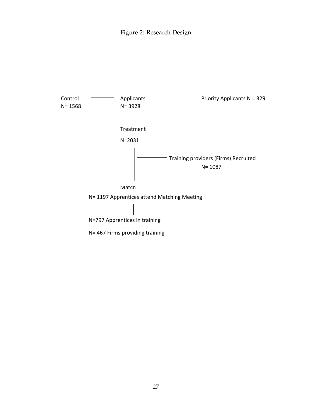

27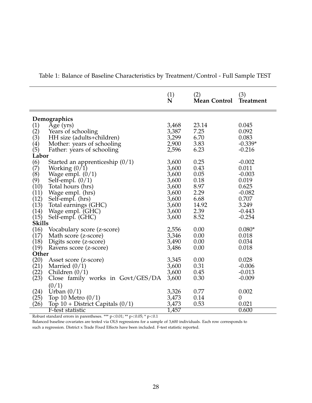|                                           |                                      | $\mathop{\mathrm{N}}\limits^{(1)}$ | (2)<br><b>Mean Control</b> | (3)<br><b>Treatment</b> |  |
|-------------------------------------------|--------------------------------------|------------------------------------|----------------------------|-------------------------|--|
|                                           |                                      |                                    |                            |                         |  |
| Demographics                              |                                      |                                    |                            |                         |  |
|                                           | Age (yrs)                            | 3,468                              | 23.14                      | 0.045                   |  |
| $(1)$<br>$(2)$<br>$(3)$<br>$(4)$<br>$(5)$ | Years of schooling                   | 3,387                              | 7.25                       | 0.092                   |  |
|                                           | HH size (adults+children)            | 3,299                              | 6.70                       | 0.083                   |  |
|                                           | Mother: years of schooling           | 2,900                              | 3.83                       | $-0.339*$               |  |
|                                           | Father: years of schooling           | 2,596                              | 6.23                       | $-0.216$                |  |
| Labor                                     |                                      |                                    |                            |                         |  |
|                                           | Started an apprenticeship $(0/1)$    | 3,600                              | 0.25                       | $-0.002$                |  |
| $\binom{6}{7}$                            | Working $(0/1)$                      | 3,600                              | 0.43                       | 0.011                   |  |
| (8)                                       |                                      | 3,600                              | 0.05                       | $-0.003$                |  |
|                                           | Wage empl. $(0/1)$                   | 3,600                              | 0.18                       | 0.019                   |  |
| (9)<br>(10)                               | Self-empl. $(0/1)$                   | 3,600                              | 8.97                       | 0.625                   |  |
|                                           | Total hours (hrs)                    | 3,600                              | 2.29                       | $-0.082$                |  |
| (11)                                      | Wage empl. (hrs)                     | 3,600                              | 6.68                       | 0.707                   |  |
| (12)                                      | Self-empl. (hrs)                     |                                    | 14.92                      | 3.249                   |  |
| (13)                                      | Total earnings (GHC)                 | 3,600                              |                            | $-0.443$                |  |
| (14)                                      | Wage empl. (GHC)                     | 3,600                              | 2.39                       |                         |  |
| (15)<br><b>Skills</b>                     | Self-empl. (GHC)                     | 3,600                              | 8.52                       | $-0.254$                |  |
|                                           |                                      |                                    |                            |                         |  |
| (16)                                      | Vocabulary score (z-score)           | 2,556                              | 0.00                       | $0.080*$                |  |
| (17)                                      | Math score (z-score)                 | 3,346                              | 0.00                       | 0.018                   |  |
| (18)                                      | Digits score (z-score)               | 3,490                              | 0.00                       | 0.034                   |  |
| (19)                                      | Ravens score (z-score)               | 3,486                              | 0.00                       | 0.018                   |  |
| Other                                     |                                      |                                    |                            |                         |  |
| (20)                                      | Asset score (z-score)                | 3,345                              | 0.00                       | 0.028                   |  |
| (21)                                      | Married $(0/1)$                      | 3,600                              | 0.31                       | $-0.006$                |  |
| (22)                                      | Children $(0/1)$                     | 3,600                              | 0.45                       | $-0.013$                |  |
| (23)                                      | Close family works in Govt/GES/DA    | 3,600                              | 0.30                       | $-0.009$                |  |
|                                           | (0/1)                                |                                    |                            |                         |  |
| (24)                                      | Urban $(0/1)$                        | 3,326                              | 0.77                       | 0.002                   |  |
| (25)                                      | Top 10 Metro $(0/1)$                 | 3,473                              | 0.14                       | $\boldsymbol{0}$        |  |
| (26)                                      | Top $10 +$ District Capitals $(0/1)$ | 3,473                              | 0.53                       | 0.021                   |  |
|                                           | F-test statistic                     | 1,457                              |                            | 0.600                   |  |

<span id="page-30-0"></span>Table 1: Balance of Baseline Characteristics by Treatment/Control - Full Sample TEST

Robust standard errors in parentheses. \*\*\*  $p<0.01$ ; \*\*  $p<0.05$ ; \*  $p<0.1$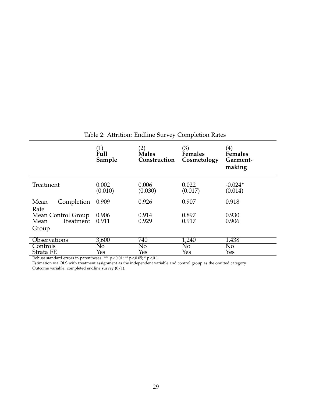<span id="page-31-0"></span>

|                            | (1)<br>Full<br>Sample | $\left( 2\right)$<br><b>Males</b><br>Construction | (3)<br>Females<br>Cosmetology | $\left( 4\right)$<br><b>Females</b><br>Garment-<br>making |
|----------------------------|-----------------------|---------------------------------------------------|-------------------------------|-----------------------------------------------------------|
| Treatment                  | 0.002<br>(0.010)      | 0.006<br>(0.030)                                  | 0.022<br>(0.017)              | $-0.024*$<br>(0.014)                                      |
| Completion<br>Mean<br>Rate | 0.909                 | 0.926                                             | 0.907                         | 0.918                                                     |
| Mean Control Group         | 0.906                 | 0.914                                             | 0.897                         | 0.930                                                     |
| Treatment<br>Mean          | 0.911                 | 0.929                                             | 0.917                         | 0.906                                                     |
| Group                      |                       |                                                   |                               |                                                           |
| <b>Observations</b>        | 3,600                 | 740                                               | 1,240                         | 1,438                                                     |
| Controls                   | No                    | No                                                | No                            | No                                                        |
| Strata FE                  | Yes                   | Yes                                               | Yes                           | Yes                                                       |

Table 2: Attrition: Endline Survey Completion Rates

Robust standard errors in parentheses. \*\*\* p<0.01; \*\* p<0.05; \* p<0.1

Estimation via OLS with treatment assignment as the independent variable and control group as the omitted category. Outcome variable: completed endline survey (0/1).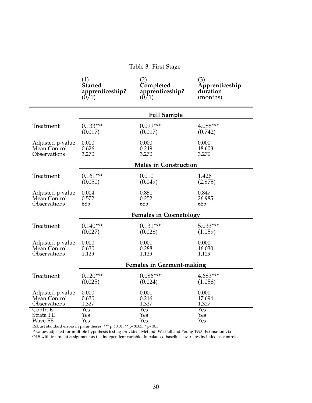<span id="page-32-0"></span>

|                  | Table 3: First Stage |                                  |                |  |  |
|------------------|----------------------|----------------------------------|----------------|--|--|
|                  | (1)                  | (2)                              | (3)            |  |  |
|                  | <b>Started</b>       | Completed                        | Apprenticeship |  |  |
|                  | apprenticeship?      | apprenticeship?                  | duration       |  |  |
|                  | (0/1)                | (0/1)                            | (months)       |  |  |
|                  |                      | <b>Full Sample</b>               |                |  |  |
| Treatment        | $0.133***$           | $0.099***$                       | 4.088***       |  |  |
|                  | (0.017)              | (0.017)                          | (0.742)        |  |  |
| Adjusted p-value | 0.000                | 0.000                            | 0.000          |  |  |
| Mean Control     | 0.626                | 0.249                            | 18.608         |  |  |
| Observations     | 3,270                | 3,270                            | 3,270          |  |  |
|                  |                      | <b>Males in Construction</b>     |                |  |  |
| Treatment        | $0.161***$           | 0.010                            | 1.426          |  |  |
|                  | (0.050)              | (0.049)                          | (2.875)        |  |  |
| Adjusted p-value | 0.004                | 0.851                            | 0.847          |  |  |
| Mean Control     | 0.572                | 0.252                            | 26.985         |  |  |
| Observations     | 685                  | 685                              | 685            |  |  |
|                  |                      | <b>Females in Cosmetology</b>    |                |  |  |
| Treatment        | $0.140***$           | $0.131***$                       | 5.033***       |  |  |
|                  | (0.027)              | (0.028)                          | (1.059)        |  |  |
| Adjusted p-value | 0.000                | 0.001                            | 0.000          |  |  |
| Mean Control     | 0.630                | 0.288                            | 16.030         |  |  |
| Observations     | 1,129                | 1,129                            | 1,129          |  |  |
|                  |                      | <b>Females in Garment-making</b> |                |  |  |
| Treatment        | $0.120***$           | $0.086***$                       | $4.683***$     |  |  |
|                  | (0.025)              | (0.024)                          | (1.058)        |  |  |
| Adjusted p-value | 0.000                | 0.001                            | 0.000          |  |  |
| Mean Control     | 0.630                | 0.216                            | 17.694         |  |  |
| Observations     | 1,327                | 1,327                            | 1,327          |  |  |
| Controls         | Yes                  | <b>Yes</b>                       | Yes            |  |  |
| Strata FE        | Yes                  | Yes                              | Yes            |  |  |
| <b>Wave FE</b>   | Yes                  | Yes                              | Yes            |  |  |

| Table 3: First Stage |  |  |
|----------------------|--|--|
|----------------------|--|--|

Robust standard errors in parantheses. \*\*\*  $p<0.01$ ; \*\*  $p<0.05$ ; \*  $p<0.1$ 

P-values adjusted for multiple hypothesis testing provided. Method: Westfall and Young 1993. Estimation via

OLS with treatment assignment as the independent variable. Imbalanced baseline covariates included as controls.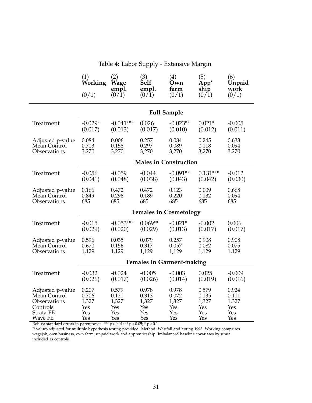<span id="page-33-0"></span>

|                  | (1)<br>Working<br>(0/1)          | (2)<br><b>Wage</b><br>empl.<br>(0/1) | (3)<br>Self<br>empl.<br>(0/1) | (4)<br>Own<br>farm<br>(0/1)   | (5)<br>App'<br>ship<br>(0/1) | (6)<br>Unpaid<br>work<br>(0/1) |
|------------------|----------------------------------|--------------------------------------|-------------------------------|-------------------------------|------------------------------|--------------------------------|
|                  |                                  |                                      |                               | <b>Full Sample</b>            |                              |                                |
| Treatment        | $-0.029*$                        | $-0.041***$                          | 0.026                         | $-0.023**$                    | $0.021*$                     | $-0.005$                       |
|                  | (0.017)                          | (0.013)                              | (0.017)                       | (0.010)                       | (0.012)                      | (0.011)                        |
| Adjusted p-value | 0.084                            | 0.006                                | 0.257                         | 0.084                         | 0.245                        | 0.633                          |
| Mean Control     | 0.713                            | 0.158                                | 0.297                         | 0.089                         | 0.118                        | 0.094                          |
| Observations     | 3,270                            | 3,270                                | 3,270                         | 3,270                         | 3,270                        | 3,270                          |
|                  |                                  |                                      |                               | <b>Males in Construction</b>  |                              |                                |
| Treatment        | $-0.056$                         | $-0.059$                             | $-0.044$                      | $-0.091**$                    | $0.131***$                   | $-0.012$                       |
|                  | (0.041)                          | (0.048)                              | (0.038)                       | (0.043)                       | (0.042)                      | (0.030)                        |
| Adjusted p-value | 0.166                            | 0.472                                | 0.472                         | 0.123                         | 0.009                        | 0.668                          |
| Mean Control     | 0.849                            | 0.296                                | 0.189                         | 0.220                         | 0.132                        | 0.094                          |
| Observations     | 685                              | 685                                  | 685                           | 685                           | 685                          | 685                            |
|                  |                                  |                                      |                               | <b>Females in Cosmetology</b> |                              |                                |
| Treatment        | $-0.015$                         | $-0.053***$                          | $0.069**$                     | $-0.021*$                     | $-0.002$                     | 0.006                          |
|                  | (0.029)                          | (0.020)                              | (0.029)                       | (0.013)                       | (0.017)                      | (0.017)                        |
| Adjusted p-value | 0.596                            | 0.035                                | 0.079                         | 0.257                         | 0.908                        | 0.908                          |
| Mean Control     | 0.670                            | 0.156                                | 0.317                         | 0.057                         | 0.082                        | 0.075                          |
| Observations     | 1,129                            | 1,129                                | 1,129                         | 1,129                         | 1,129                        | 1,129                          |
|                  | <b>Females in Garment-making</b> |                                      |                               |                               |                              |                                |
| Treatment        | $-0.032$                         | $-0.024$                             | $-0.005$                      | $-0.003$                      | 0.025                        | $-0.009$                       |
|                  | (0.026)                          | (0.017)                              | (0.026)                       | (0.014)                       | (0.019)                      | (0.016)                        |
| Adjusted p-value | 0.207                            | 0.579                                | 0.978                         | 0.978                         | 0.579                        | 0.924                          |
| Mean Control     | 0.706                            | 0.121                                | 0.313                         | 0.072                         | 0.135                        | 0.111                          |
| Observations     | 1,327                            | 1,327                                | 1,327                         | 1,327                         | 1,327                        | 1,327                          |
| Controls         | Yes                              | Yes                                  | Yes                           | Yes                           | Yes                          | Yes                            |
| Strata FE        | Yes                              | Yes                                  | Yes                           | Yes                           | Yes                          | Yes                            |
| Wave FE          | Yes                              | Yes                                  | Yes                           | Yes                           | Yes                          | Yes                            |

Table 4: Labor Supply - Extensive Margin

Robust standard errors in parentheses. \*\*\* p<0.01; \*\* p<0.05; \* p<0.1

P-values adjusted for multiple hypothesis testing provided. Method: Westfall and Young 1993. Working comprises wagejob, own business, own farm, unpaid work and apprenticeship. Imbalanced baseline covariates by strata included as controls.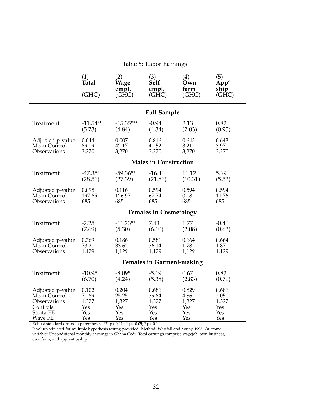<span id="page-34-0"></span>

|                  | Table 5: Labor Earnings          |                               |                                              |                             |                                      |  |
|------------------|----------------------------------|-------------------------------|----------------------------------------------|-----------------------------|--------------------------------------|--|
|                  | (1)<br>Total<br>(GHC)            | (2)<br>Wage<br>empl.<br>(GHC) | (3)<br><b>Self</b><br>empl.<br>$(G\bar{H}C)$ | (4)<br>Own<br>farm<br>(GHC) | (5)<br>App'<br>ship<br>$(G\bar{H}C)$ |  |
|                  |                                  |                               | <b>Full Sample</b>                           |                             |                                      |  |
| Treatment        | $-11.54**$                       | $-15.35***$                   | $-0.94$                                      | 2.13                        | 0.82                                 |  |
|                  | (5.73)                           | (4.84)                        | (4.34)                                       | (2.03)                      | (0.95)                               |  |
| Adjusted p-value | 0.044                            | 0.007                         | 0.816                                        | 0.643                       | 0.643                                |  |
| Mean Control     | 89.19                            | 42.17                         | 41.52                                        | 3.21                        | 3.97                                 |  |
| Observations     | 3,270                            | 3,270                         | 3,270                                        | 3,270                       | 3,270                                |  |
|                  |                                  |                               | <b>Males in Construction</b>                 |                             |                                      |  |
| Treatment        | $-47.35*$                        | $-59.36**$                    | $-16.40$                                     | 11.12                       | 5.69                                 |  |
|                  | (28.56)                          | (27.39)                       | (21.86)                                      | (10.31)                     | (5.53)                               |  |
| Adjusted p-value | 0.098                            | 0.116                         | 0.594                                        | 0.594                       | 0.594                                |  |
| Mean Control     | 197.65                           | 126.97                        | 67.74                                        | 0.18                        | 11.76                                |  |
| Observations     | 685                              | 685                           | 685                                          | 685                         | 685                                  |  |
|                  |                                  |                               | <b>Females in Cosmetology</b>                |                             |                                      |  |
| Treatment        | $-2.25$                          | $-11.23**$                    | 7.43                                         | 1.77                        | $-0.40$                              |  |
|                  | (7.69)                           | (5.30)                        | (6.10)                                       | (2.08)                      | (0.63)                               |  |
| Adjusted p-value | 0.769                            | 0.186                         | 0.581                                        | 0.664                       | 0.664                                |  |
| Mean Control     | 73.21                            | 33.62                         | 36.14                                        | 1.78                        | 1.87                                 |  |
| Observations     | 1,129                            | 1,129                         | 1,129                                        | 1,129                       | 1,129                                |  |
|                  | <b>Females in Garment-making</b> |                               |                                              |                             |                                      |  |
| Treatment        | $-10.95$                         | $-8.09*$                      | $-5.19$                                      | 0.67                        | 0.82                                 |  |
|                  | (6.70)                           | (4.24)                        | (5.38)                                       | (2.83)                      | (0.79)                               |  |
| Adjusted p-value | 0.102                            | 0.204                         | 0.686                                        | 0.829                       | 0.686                                |  |
| Mean Control     | 71.89                            | 25.25                         | 39.84                                        | 4.86                        | 2.05                                 |  |
| Observations     | 1,327                            | 1,327                         | 1,327                                        | 1,327                       | 1,327                                |  |
| Controls         | Yes                              | Yes                           | Yes                                          | Yes                         | Yes                                  |  |
| Strata FE        | Yes                              | Yes                           | Yes                                          | Yes                         | Yes                                  |  |
| Wave FE          | Yes                              | Yes                           | Yes                                          | Yes                         | Yes                                  |  |

Robust standard errors in parentheses. \*\*\* p<0.01; \*\* p<0.05; \* p<0.1

P-values adjusted for multiple hypothesis testing provided. Method: Westfall and Young 1993. Outcome variable: Unconditional monthly earnings in Ghana Cedi. Total earnings comprise wagejob, own business, own farm, and apprenticeship.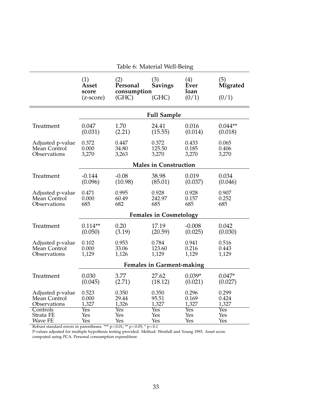<span id="page-35-0"></span>

|                  |                                             | Table o. Material Well-Dellig           |                                |                              |                                 |  |
|------------------|---------------------------------------------|-----------------------------------------|--------------------------------|------------------------------|---------------------------------|--|
|                  | (1)<br>Asset<br>score<br>$(z\text{-score})$ | (2)<br>Personal<br>consumption<br>(GHC) | (3)<br><b>Savings</b><br>(GHC) | (4)<br>Ever<br>loan<br>(0/1) | (5)<br><b>Migrated</b><br>(0/1) |  |
|                  |                                             |                                         |                                |                              |                                 |  |
|                  |                                             |                                         | <b>Full Sample</b>             |                              |                                 |  |
| Treatment        | 0.047                                       | 1.70                                    | 24.41                          | 0.016                        | $0.044**$                       |  |
|                  | (0.031)                                     | (2.21)                                  | (15.55)                        | (0.014)                      | (0.018)                         |  |
| Adjusted p-value | 0.372                                       | 0.447                                   | 0.372                          | 0.433                        | 0.065                           |  |
| Mean Control     | 0.000                                       | 34.80                                   | 125.50                         | 0.185                        | 0.406                           |  |
| Observations     | 3,270                                       | 3,263                                   | 3,270                          | 3,270                        | 3,270                           |  |
|                  |                                             |                                         | <b>Males in Construction</b>   |                              |                                 |  |
| Treatment        | $-0.144$                                    | $-0.08$                                 | 38.98                          | 0.019                        | 0.034                           |  |
|                  | (0.096)                                     | (10.98)                                 | (85.01)                        | (0.037)                      | (0.046)                         |  |
| Adjusted p-value | 0.471                                       | 0.995                                   | 0.928                          | 0.928                        | 0.907                           |  |
| Mean Control     | 0.000                                       | 60.49                                   | 242.97                         | 0.157                        | 0.252                           |  |
| Observations     | 685                                         | 682                                     | 685                            | 685                          | 685                             |  |
|                  |                                             |                                         | <b>Females in Cosmetology</b>  |                              |                                 |  |
| Treatment        | $0.114**$                                   | 0.20                                    | 17.19                          | $-0.008$                     | 0.042                           |  |
|                  | (0.050)                                     | (3.19)                                  | (20.59)                        | (0.025)                      | (0.030)                         |  |
| Adjusted p-value | 0.102                                       | 0.953                                   | 0.784                          | 0.941                        | 0.516                           |  |
| Mean Control     | 0.000                                       | 33.06                                   | 123.60                         | 0.216                        | 0.443                           |  |
| Observations     | 1,129                                       | 1,126                                   | 1,129                          | 1,129                        | 1,129                           |  |
|                  | <b>Females in Garment-making</b>            |                                         |                                |                              |                                 |  |
| Treatment        | 0.030                                       | 3.77                                    | 27.62                          | $0.039*$                     | $0.047*$                        |  |
|                  | (0.045)                                     | (2.71)                                  | (18.12)                        | (0.021)                      | (0.027)                         |  |
| Adjusted p-value | 0.523                                       | 0.350                                   | 0.350                          | 0.296                        | 0.299                           |  |
| Mean Control     | 0.000                                       | 29.44                                   | 95.51                          | 0.169                        | 0.424                           |  |
| Observations     | 1,327                                       | 1,326                                   | 1,327                          | 1,327                        | 1,327                           |  |
| Controls         | $\overline{\mathrm{Yes}}$                   | $\overline{\mathrm{Yes}}$               | $\overline{\mathrm{Yes}}$      | $\overline{\mathrm{Yes}}$    | <b>Yes</b>                      |  |
| Strata FE        | Yes                                         | Yes                                     | Yes                            | Yes                          | Yes                             |  |
| Wave FE          | Yes                                         | Yes                                     | Yes                            | Yes                          | Yes                             |  |

Table 6: Material Well-Being

Robust standard errors in parentheses. \*\*\*  $p<0.01$ ; \*\*  $p<0.05$ ; \*  $p<0.1$ 

P-values adjusted for multiple hypothesis testing provided. Method: Westfall and Young 1993. Asset score computed using PCA. Personal consumption expenditure.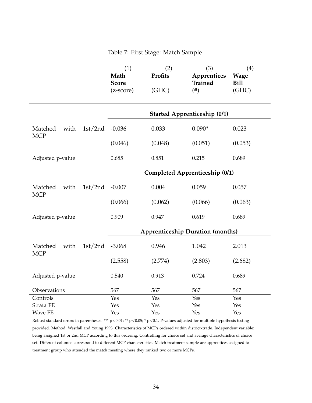<span id="page-36-0"></span>

| Table 7: First Stage: Match Sample |         |                                                |                                |                                                |                                            |
|------------------------------------|---------|------------------------------------------------|--------------------------------|------------------------------------------------|--------------------------------------------|
|                                    |         | (1)<br>Math<br><b>Score</b><br>$(z$ -score $)$ | (2)<br><b>Profits</b><br>(GHC) | (3)<br>Apprentices<br><b>Trained</b><br>$(\#)$ | (4)<br><b>Wage</b><br><b>Bill</b><br>(GHC) |
|                                    |         |                                                |                                | <b>Started Apprenticeship (0/1)</b>            |                                            |
| with<br>Matched                    | 1st/2nd | $-0.036$                                       | 0.033                          | $0.090*$                                       | 0.023                                      |
| <b>MCP</b>                         |         | (0.046)                                        | (0.048)                        | (0.051)                                        | (0.053)                                    |
| Adjusted p-value                   |         | 0.685                                          | 0.851                          | 0.215                                          | 0.689                                      |
|                                    |         |                                                |                                | Completed Apprenticeship (0/1)                 |                                            |
| Matched<br>with<br><b>MCP</b>      | 1st/2nd | $-0.007$                                       | 0.004                          | 0.059                                          | 0.057                                      |
|                                    |         | (0.066)                                        | (0.062)                        | (0.066)                                        | (0.063)                                    |
| Adjusted p-value                   |         | 0.909                                          | 0.947                          | 0.619                                          | 0.689                                      |
|                                    |         |                                                |                                | <b>Apprenticeship Duration (months)</b>        |                                            |
| Matched<br>with<br><b>MCP</b>      | 1st/2nd | $-3.068$                                       | 0.946                          | 1.042                                          | 2.013                                      |
|                                    |         | (2.558)                                        | (2.774)                        | (2.803)                                        | (2.682)                                    |
| Adjusted p-value                   |         | 0.540                                          | 0.913                          | 0.724                                          | 0.689                                      |
| Observations                       |         | 567                                            | 567                            | 567                                            | 567                                        |
| Controls                           |         | Yes                                            | Yes                            | Yes                                            | Yes                                        |
| Strata FE                          |         | Yes                                            | Yes                            | Yes                                            | Yes                                        |
| Wave FE                            |         | Yes                                            | Yes                            | Yes                                            | Yes                                        |

Robust standard errors in parentheses. \*\*\*  $p<0.01$ ; \*\*  $p<0.05$ ; \*  $p<0.1$ . P-values adjusted for multiple hypothesis testing provided. Method: Westfall and Young 1993. Characteristics of MCPs ordered within districtxtrade. Independent variable: being assigned 1st or 2nd MCP according to this ordering. Controlling for choice set and average characteristics of choice set. Different columns correspond to different MCP characteristics. Match treatment sample are apprentices assigned to treatment group who attended the match meeting where they ranked two or more MCPs.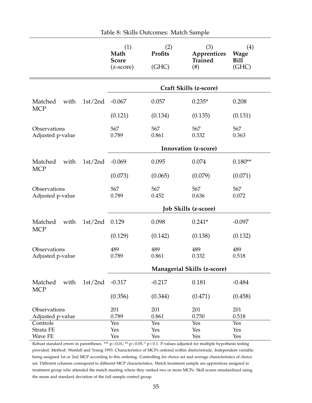<span id="page-37-0"></span>

|                                  |         | (1)<br>Math<br><b>Score</b><br>$(z\text{-score})$ | (2)<br>Profits<br>(GHC) | (3)<br>Apprentices<br><b>Trained</b><br>$(\#)$ | (4)<br><b>Wage</b><br><b>Bill</b><br>(GHC) |  |
|----------------------------------|---------|---------------------------------------------------|-------------------------|------------------------------------------------|--------------------------------------------|--|
|                                  |         | Craft Skills (z-score)                            |                         |                                                |                                            |  |
| Matched<br>with<br><b>MCP</b>    | 1st/2nd | $-0.067$                                          | 0.057                   | $0.235*$                                       | 0.208                                      |  |
|                                  |         | (0.121)                                           | (0.134)                 | (0.135)                                        | (0.131)                                    |  |
| Observations<br>Adjusted p-value |         | 567<br>0.789                                      | 567<br>0.861            | 567<br>0.332                                   | 567<br>0.363                               |  |
|                                  |         | Innovation (z-score)                              |                         |                                                |                                            |  |
| Matched<br>with                  | 1st/2nd | $-0.069$                                          | 0.095                   | 0.074                                          | $0.180**$                                  |  |
| <b>MCP</b>                       |         | (0.073)                                           | (0.065)                 | (0.079)                                        | (0.071)                                    |  |
| Observations<br>Adjusted p-value |         | 567<br>0.789                                      | 567<br>0.452            | 567<br>0.636                                   | 567<br>0.072                               |  |
|                                  |         |                                                   |                         | <b>Job Skills (z-score)</b>                    |                                            |  |
| Matched<br>with<br><b>MCP</b>    | 1st/2nd | 0.129                                             | 0.098                   | $0.241*$                                       | $-0.097$                                   |  |
|                                  |         | (0.129)                                           | (0.142)                 | (0.138)                                        | (0.132)                                    |  |
| Observations<br>Adjusted p-value |         | 489<br>0.789                                      | 489<br>0.861            | 489<br>0.332                                   | 489<br>0.518                               |  |
|                                  |         |                                                   |                         | Managerial Skills (z-score)                    |                                            |  |
| with<br>Matched<br><b>MCP</b>    | 1st/2nd | $-0.317$                                          | $-0.217$                | 0.181                                          | $-0.484$                                   |  |
|                                  |         | (0.356)                                           | (0.344)                 | (0.471)                                        | (0.458)                                    |  |
| Observations<br>Adjusted p-value |         | 201<br>0.789                                      | 201<br>0.861            | 201<br>0.750                                   | 201<br>0.518                               |  |
| Controls                         |         | Yes                                               | Yes                     | Yes                                            | Yes                                        |  |
| Strata FE                        |         | Yes                                               | Yes                     | Yes                                            | Yes                                        |  |
| Wave FE                          |         | Yes                                               | Yes                     | Yes                                            | Yes                                        |  |

Table 8: Skills Outcomes: Match Sample

Robust standard errors in parentheses. \*\*\*  $p<0.01$ ; \*\*  $p<0.05$ ; \*  $p<0.1$ . P-values adjusted for multiple hypothesis testing provided. Method: Westfall and Young 1993. Characteristics of MCPs ordered within districtxtrade. Independent variable: being assigned 1st or 2nd MCP according to this ordering. Controlling for choice set and average characteristics of choice set. Different columns correspond to different MCP characteristics. Match treatment sample are apprentices assigned to treatment group who attended the match meeting where they ranked two or more MCPs. Skill scores standardized using the mean and standard deviation of the full sample control group.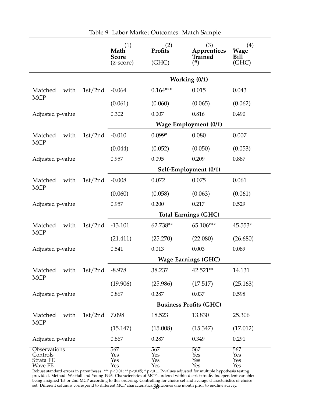<span id="page-38-0"></span>

|                               |         | (1)<br>Math<br><b>Score</b><br>(z-score) | (2)<br>Profits<br>(GHC)    | (3)<br>Apprentices<br>Trained<br>$^{(+)}$ | (4)<br><b>Wage</b><br><b>Bill</b><br>(GHC) |  |
|-------------------------------|---------|------------------------------------------|----------------------------|-------------------------------------------|--------------------------------------------|--|
|                               |         |                                          |                            | Working (0/1)                             |                                            |  |
| with<br>Matched               | 1st/2nd | $-0.064$                                 | $0.164***$                 | 0.015                                     | 0.043                                      |  |
| <b>MCP</b>                    |         | (0.061)                                  | (0.060)                    | (0.065)                                   | (0.062)                                    |  |
| Adjusted p-value              |         | 0.302                                    | 0.007                      | 0.816                                     | 0.490                                      |  |
|                               |         |                                          |                            | <b>Wage Employment (0/1)</b>              |                                            |  |
| Matched<br>with               | 1st/2nd | $-0.010$                                 | $0.099*$                   | 0.080                                     | 0.007                                      |  |
| <b>MCP</b>                    |         | (0.044)                                  | (0.052)                    | (0.050)                                   | (0.053)                                    |  |
| Adjusted p-value              |         | 0.957                                    | 0.095                      | 0.209                                     | 0.887                                      |  |
|                               |         | Self-Employment (0/1)                    |                            |                                           |                                            |  |
| Matched<br>with               | 1st/2nd | $-0.008$                                 | 0.072                      | 0.075                                     | 0.061                                      |  |
| <b>MCP</b>                    |         | (0.060)                                  | (0.058)                    | (0.063)                                   | (0.061)                                    |  |
| Adjusted p-value              |         | 0.957                                    | 0.200                      | 0.217                                     | 0.529                                      |  |
|                               |         | <b>Total Earnings (GHC)</b>              |                            |                                           |                                            |  |
| Matched<br>with               | 1st/2nd | $-13.101$                                | 62.738**                   | 65.106***                                 | 45.553*                                    |  |
| <b>MCP</b>                    |         | (21.411)                                 | (25.270)                   | (22.080)                                  | (26.680)                                   |  |
| Adjusted p-value              |         | 0.541                                    | 0.013                      | 0.003                                     | 0.089                                      |  |
|                               |         |                                          | <b>Wage Earnings (GHC)</b> |                                           |                                            |  |
| with<br>Matched               | 1st/2nd | $-8.978$                                 | 38.237                     | 42.521**                                  | 14.131                                     |  |
| <b>MCP</b>                    |         | (19.906)                                 | (25.986)                   | (17.517)                                  | (25.163)                                   |  |
| Adjusted p-value              |         | 0.867                                    | 0.287                      | 0.037                                     | 0.598                                      |  |
|                               |         |                                          |                            | <b>Business Profits (GHC)</b>             |                                            |  |
| Matched<br>with<br><b>MCP</b> | 1st/2nd | 7.098                                    | 18.523                     | 13.830                                    | 25.306                                     |  |
|                               |         | (15.147)                                 | (15.008)                   | (15.347)                                  | (17.012)                                   |  |
| Adjusted p-value              |         | 0.867                                    | 0.287                      | 0.349                                     | 0.291                                      |  |
| Observations<br>Controls      |         | 567<br>Yes                               | 567<br>Yes                 | 567<br>Yes                                | 567<br>Yes                                 |  |
| Strata FE<br>Wave FE          |         | Yes<br>Yes                               | Yes<br>Yes                 | Yes<br>Yes                                | Yes<br>Yes                                 |  |

Table 9: Labor Market Outcomes: Match Sample

Robust standard errors in parentheses. \*\*\*  $p<0.01$ ; \*\*  $p<0.05$ ; \*  $p<0.1$ . P-values adjusted for multiple hypothesis testing provided. Method: Westfall and Young 1993. Characteristics of MCPs ordered within districtxtrade. Independent variable: being assigned 1st or 2nd MCP according to this ordering. Controlling for choice set and average characteristics of choice set. Different columns correspond to different MCP characteristics. **Gu**tcomes one month prior to endline survey.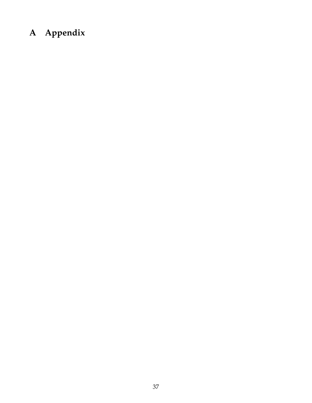## **A Appendix**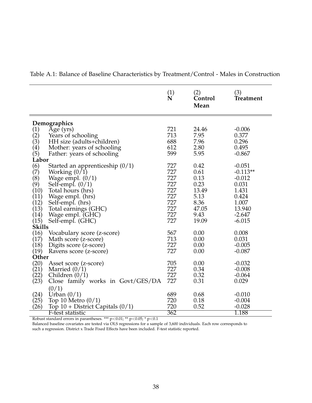|                                  |                                      | $\overset{(1)}{\mathbf{N}}$ | (2)<br>Control<br>Mean | (3)<br>Treatment |  |  |  |
|----------------------------------|--------------------------------------|-----------------------------|------------------------|------------------|--|--|--|
|                                  | Demographics                         |                             |                        |                  |  |  |  |
|                                  | Age (yrs)                            | 721                         | 24.46                  | $-0.006$         |  |  |  |
| $\binom{1}{2}$                   | Years of schooling                   | 713                         | 7.95                   | 0.377            |  |  |  |
|                                  | HH size (adults+children)            | 688                         | 7.96                   | 0.296            |  |  |  |
|                                  | Mother: years of schooling           | 612                         | 2.80                   | 0.495            |  |  |  |
|                                  | Father: years of schooling           | 599                         | 5.95                   | $-0.867$         |  |  |  |
| $(3)$<br>$(4)$<br>$(5)$<br>Labor |                                      |                             |                        |                  |  |  |  |
| (6)                              | Started an apprenticeship $(0/1)$    | 727                         | 0.42                   | $-0.051$         |  |  |  |
| (7)                              | Working $(0/1)$                      | 727                         | 0.61                   | $-0.113**$       |  |  |  |
| (8)                              | Wage empl. $(0/1)$                   | 727                         | 0.13                   | $-0.012$         |  |  |  |
| (9)                              | Self-empl. $(0/1)$                   | 727                         | 0.23                   | 0.031            |  |  |  |
| (10)                             | Total hours (hrs)                    | 727                         | 13.49                  | 1.431            |  |  |  |
| (11)                             | Wage empl. (hrs)                     | 727                         | 5.13                   | 0.424            |  |  |  |
| (12)                             | Self-empl. (hrs)                     | 727                         | 8.36                   | 1.007            |  |  |  |
| (13)                             | Total earnings (GHC)                 | 727                         | 47.05                  | 13.940           |  |  |  |
| (14)                             | Wage empl. (GHC)                     | 727                         | 9.43                   | $-2.647$         |  |  |  |
| (15)                             | Self-empl. (GHC)                     | 727                         | 19.09                  | $-6.015$         |  |  |  |
| <b>Skills</b>                    |                                      |                             |                        |                  |  |  |  |
| (16)                             | Vocabulary score (z-score)           | 567                         | 0.00                   | 0.008            |  |  |  |
| (17)                             | Math score (z-score)                 | 713                         | 0.00                   | 0.031            |  |  |  |
| (18)                             | Digits score (z-score)               | 727                         | 0.00                   | $-0.005$         |  |  |  |
| (19)                             | Ravens score (z-score)               | 727                         | 0.00                   | $-0.087$         |  |  |  |
| Other                            |                                      |                             |                        |                  |  |  |  |
| (20)                             | Asset score (z-score)                | 705                         | 0.00                   | $-0.032$         |  |  |  |
| (21)                             | Married $(0/1)$                      | 727                         | 0.34                   | $-0.008$         |  |  |  |
| (22)                             | Children $(0/1)$                     | 727                         | 0.32                   | $-0.064$         |  |  |  |
| (23)                             | Close family works in Govt/GES/DA    | 727                         | 0.31                   | 0.029            |  |  |  |
|                                  | (0/1)                                |                             |                        |                  |  |  |  |
| (24)                             | Urban $(0/1)$                        | 689                         | 0.68                   | $-0.010$         |  |  |  |
| (25)                             | Top 10 Metro $(0/1)$                 | 720                         | 0.18                   | $-0.004$         |  |  |  |
| (26)                             | Top $10 +$ District Capitals $(0/1)$ | 720                         | 0.52                   | $-0.028$         |  |  |  |
|                                  | F-test statistic                     | 362                         |                        | 1.188            |  |  |  |

Table A.1: Balance of Baseline Characteristics by Treatment/Control - Males in Construction

Robust standard errors in parantheses. \*\*\* p<0.01; \*\* p<0.05; \* p<0.1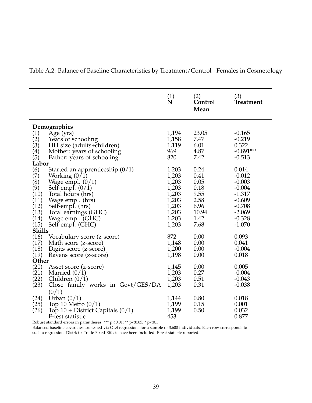Table A.2: Balance of Baseline Characteristics by Treatment/Control - Females in Cosmetology

|                                                                                           |                                                                                                                                                                                                                               | $\overset{(1)}{\mathbf{N}}$                                                            | (2)<br>Control<br>Mean                                                        | (3)<br><b>Treatment</b>                                                                                           |  |  |  |
|-------------------------------------------------------------------------------------------|-------------------------------------------------------------------------------------------------------------------------------------------------------------------------------------------------------------------------------|----------------------------------------------------------------------------------------|-------------------------------------------------------------------------------|-------------------------------------------------------------------------------------------------------------------|--|--|--|
|                                                                                           | Demographics                                                                                                                                                                                                                  |                                                                                        |                                                                               |                                                                                                                   |  |  |  |
| $\binom{1}{2}$<br>(3)<br>(4)<br>(5)                                                       | $\overline{Age}$ (yrs)<br>Years of schooling<br>HH size (adults+children)<br>Mother: years of schooling<br>Father: years of schooling                                                                                         | 1,194<br>1,158<br>1,119<br>969<br>820                                                  | 23.05<br>7.47<br>6.01<br>4.87<br>7.42                                         | $-0.165$<br>$-0.219$<br>0.322<br>$-0.891***$<br>$-0.513$                                                          |  |  |  |
| Labor                                                                                     |                                                                                                                                                                                                                               |                                                                                        |                                                                               |                                                                                                                   |  |  |  |
| (6)<br>(7)<br>(8)<br>(9)<br>(10)<br>(11)<br>(12)<br>(13)<br>(14)<br>(15)<br><b>Skills</b> | Started an apprenticeship $(0/1)$<br>Working $(0/1)$<br>Wage empl. $(0/1)$<br>Self-empl. $(0/1)$<br>Total hours (hrs)<br>Wage empl. (hrs)<br>Self-empl. (hrs)<br>Total earnings (GHC)<br>Wage empl. (GHC)<br>Self-empl. (GHC) | 1,203<br>1,203<br>1,203<br>1,203<br>1,203<br>1,203<br>1,203<br>1,203<br>1,203<br>1,203 | 0.24<br>0.41<br>0.05<br>0.18<br>9.55<br>2.58<br>6.96<br>10.94<br>1.42<br>7.68 | 0.014<br>$-0.012$<br>$-0.003$<br>$-0.004$<br>$-1.317$<br>$-0.609$<br>$-0.708$<br>$-2.069$<br>$-0.328$<br>$-1.070$ |  |  |  |
| (16)<br>(17)<br>(18)<br>(19)                                                              | Vocabulary score (z-score)<br>Math score (z-score)<br>Digits score (z-score)<br>Ravens score (z-score)                                                                                                                        | 872<br>1,148<br>1,200<br>1,198                                                         | 0.00<br>0.00<br>0.00<br>0.00                                                  | 0.093<br>0.041<br>$-0.004$<br>0.018                                                                               |  |  |  |
| Other                                                                                     |                                                                                                                                                                                                                               |                                                                                        |                                                                               |                                                                                                                   |  |  |  |
| (20)<br>(21)<br>(22)<br>(23)                                                              | Asset score (z-score)<br>Married $(0/1)$<br>Children $(0/1)$<br>Close family works in Govt/GES/DA                                                                                                                             | 1,145<br>1,203<br>1,203<br>1,203                                                       | 0.00<br>0.27<br>0.51<br>0.31                                                  | 0.005<br>$-0.004$<br>$-0.043$<br>$-0.038$                                                                         |  |  |  |
| (24)<br>(25)<br>(26)                                                                      | (0/1)<br>Urban $(0/1)$<br>Top 10 Metro $(0/1)$<br>Top $10 +$ District Capitals $(0/1)$<br>F-test statistic                                                                                                                    | 1,144<br>1,199<br>1,199<br>453                                                         | 0.80<br>0.15<br>0.50                                                          | 0.018<br>0.001<br>0.032<br>0.877                                                                                  |  |  |  |

Robust standard errors in parantheses. \*\*\*  $p<0.01$ ; \*\*  $p<0.05$ ; \*  $p<0.1$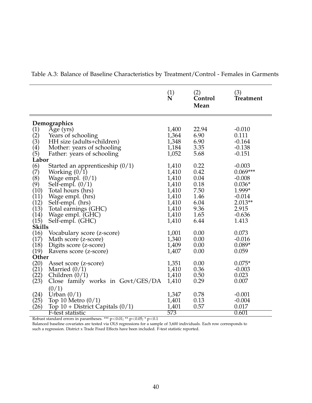|                   |                                      | $\overset{(1)}{\mathbf{N}}$ | (2)<br>Control<br>Mean | (3)<br><b>Treatment</b> |  |  |  |
|-------------------|--------------------------------------|-----------------------------|------------------------|-------------------------|--|--|--|
| Demographics      |                                      |                             |                        |                         |  |  |  |
| (1)               | Age (yrs)                            | 1,400                       | 22.94                  | $-0.010$                |  |  |  |
| (2)               | Years of schooling                   | 1,364                       | 6.90                   | 0.111                   |  |  |  |
| (3)               | HH size (adults+children)            | 1,348                       | 6.90                   | $-0.164$                |  |  |  |
| $\left( 4\right)$ | Mother: years of schooling           | 1,184                       | 3.35                   | $-0.138$                |  |  |  |
| (5)               | Father: years of schooling           | 1,052                       | 5.68                   | $-0.151$                |  |  |  |
| Labor             |                                      |                             |                        |                         |  |  |  |
| (6)               | Started an apprenticeship $(0/1)$    | 1,410                       | 0.22                   | $-0.003$                |  |  |  |
| (7)               | Working $(0/1)$                      | 1,410                       | 0.42                   | $0.069***$              |  |  |  |
| (8)               | Wage empl. $(0/1)$                   | 1,410                       | 0.04                   | $-0.008$                |  |  |  |
| (9)               | Self-empl. $(0/1)$                   | 1,410                       | 0.18                   | $0.036*$                |  |  |  |
| (10)              | Total hours (hrs)                    | 1,410                       | 7.50                   | 1.999*                  |  |  |  |
| (11)              | Wage empl. (hrs)                     | 1,410                       | 1.46                   | $-0.014$                |  |  |  |
| (12)<br>(13)      | Self-empl. (hrs)                     | 1,410                       | 6.04<br>9.36           | $2.013**$<br>2.915      |  |  |  |
| (14)              | Total earnings (GHC)                 | 1,410<br>1,410              | 1.65                   | $-0.636$                |  |  |  |
| (15)              | Wage empl. (GHC)                     | 1,410                       | 6.44                   | 1.413                   |  |  |  |
| <b>Skills</b>     | Self-empl. (GHC)                     |                             |                        |                         |  |  |  |
| (16)              | Vocabulary score (z-score)           | 1,001                       | 0.00                   | 0.073                   |  |  |  |
| (17)              | Math score (z-score)                 | 1,340                       | 0.00                   | $-0.016$                |  |  |  |
| (18)              | Digits score (z-score)               | 1,409                       | 0.00                   | $0.089*$                |  |  |  |
| (19)              | Ravens score (z-score)               | 1,407                       | 0.00                   | 0.059                   |  |  |  |
| Other             |                                      |                             |                        |                         |  |  |  |
| (20)              | Asset score (z-score)                | 1,351                       | 0.00                   | $0.075*$                |  |  |  |
| (21)              | Married $(0/1)$                      | 1,410                       | 0.36                   | $-0.003$                |  |  |  |
| (22)              | Children $(0/1)$                     | 1,410                       | 0.50                   | 0.023                   |  |  |  |
| (23)              | Close family works in Govt/GES/DA    | 1,410                       | 0.29                   | 0.007                   |  |  |  |
|                   | (0/1)                                |                             |                        |                         |  |  |  |
| (24)              | Urban $(0/1)$                        | 1,347                       | 0.78                   | $-0.001$                |  |  |  |
| (25)              | Top 10 Metro $(0/1)$                 | 1,401                       | 0.13                   | $-0.004$                |  |  |  |
| (26)              | Top $10 +$ District Capitals $(0/1)$ | 1,401                       | 0.57                   | 0.017                   |  |  |  |
|                   | F-test statistic                     | 573                         |                        | 0.601                   |  |  |  |

Table A.3: Balance of Baseline Characteristics by Treatment/Control - Females in Garments

Robust standard errors in parantheses. \*\*\* p<0.01; \*\* p<0.05; \* p<0.1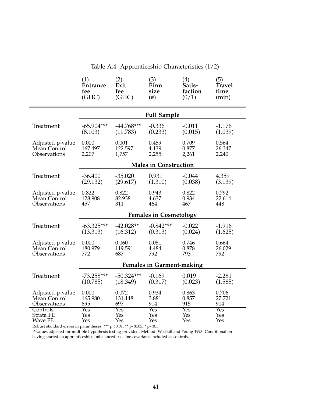<span id="page-43-0"></span>

|                  | (1)                              | (2)                | (3)                          | (4)      | (5)        |  |  |  |
|------------------|----------------------------------|--------------------|------------------------------|----------|------------|--|--|--|
|                  | <b>Entrance</b>                  | Exit               | Firm                         | Satis-   | Travel     |  |  |  |
|                  | fee                              | fee                | size                         | faction  | time       |  |  |  |
|                  | (GHC)                            | (GHC)              | $(\#)$                       | (0/1)    | (min)      |  |  |  |
|                  |                                  | <b>Full Sample</b> |                              |          |            |  |  |  |
| Treatment        | $-65.904***$                     | $-44.768***$       | $-0.336$                     | $-0.011$ | $-1.176$   |  |  |  |
|                  | (8.103)                          | (11.783)           | (0.233)                      | (0.015)  | (1.039)    |  |  |  |
| Adjusted p-value | 0.000                            | 0.001              | 0.459                        | 0.709    | 0.564      |  |  |  |
| Mean Control     | 167.497                          | 122.597            | 4.139                        | 0.877    | 26.347     |  |  |  |
| Observations     | 2,207                            | 1,757              | 2,255                        | 2,261    | 2,240      |  |  |  |
|                  |                                  |                    | <b>Males in Construction</b> |          |            |  |  |  |
| Treatment        | $-36.400$                        | $-35.020$          | 0.931                        | $-0.044$ | 4.359      |  |  |  |
|                  | (29.132)                         | (29.617)           | (1.310)                      | (0.038)  | (3.139)    |  |  |  |
| Adjusted p-value | 0.822                            | 0.822              | 0.943                        | 0.822    | 0.792      |  |  |  |
| Mean Control     | 128.908                          | 82.938             | 4.637                        | 0.934    | 22.614     |  |  |  |
| Observations     | 457                              | 311                | 464                          | 467      | 448        |  |  |  |
|                  | <b>Females in Cosmetology</b>    |                    |                              |          |            |  |  |  |
| Treatment        | $-63.325***$                     | $-42.028**$        | $-0.842***$                  | $-0.022$ | $-1.916$   |  |  |  |
|                  | (13.313)                         | (16.312)           | (0.313)                      | (0.024)  | (1.625)    |  |  |  |
| Adjusted p-value | 0.000                            | 0.060              | 0.051                        | 0.746    | 0.664      |  |  |  |
| Mean Control     | 180.979                          | 119.591            | 4.484                        | 0.878    | 26.029     |  |  |  |
| Observations     | 772                              | 687                | 792                          | 793      | 792        |  |  |  |
|                  | <b>Females in Garment-making</b> |                    |                              |          |            |  |  |  |
| Treatment        | $-73.258***$                     | $-50.324***$       | $-0.169$                     | 0.019    | $-2.281$   |  |  |  |
|                  | (10.785)                         | (18.349)           | (0.317)                      | (0.023)  | (1.585)    |  |  |  |
| Adjusted p-value | 0.000                            | 0.072              | 0.934                        | 0.863    | 0.706      |  |  |  |
| Mean Control     | 165.980                          | 131.148            | 3.881                        | 0.857    | 27.721     |  |  |  |
| Observations     | 895                              | 697                | 914                          | 915      | 914        |  |  |  |
| Controls         | Yes                              | Yes                | Yes                          | Yes      | <b>Yes</b> |  |  |  |
| Strata FE        | Yes                              | Yes                | Yes                          | Yes      | Yes        |  |  |  |
| <b>Wave FE</b>   | Yes                              | Yes                | Yes                          | Yes      | Yes        |  |  |  |

Table A.4: Apprenticeship Characteristics (1/2)

Robust standard errors in parantheses. \*\*\*  $p<0.01$ ; \*\*  $p<0.05$ ; \*  $p<0.1$ 

P-values adjusted for multiple hypothesis testing provided. Method: Westfall and Young 1993. Conditional on having started an apprenticeship. Imbalanced baseline covariates included as controls.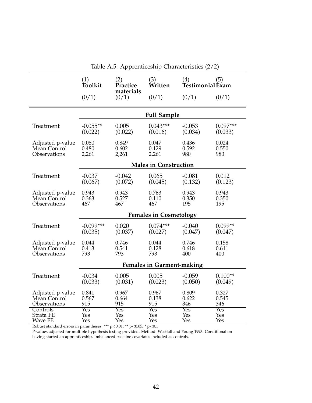<span id="page-44-0"></span>

|                                                  | (1)<br>Toolkit                   | (2)<br>Practice<br>materials                   | (3)<br>Written | (4)<br>Testimonial Exam | (5)                   |  |  |
|--------------------------------------------------|----------------------------------|------------------------------------------------|----------------|-------------------------|-----------------------|--|--|
|                                                  | (0/1)                            | (0/1)                                          | (0/1)          | (0/1)                   | (0/1)                 |  |  |
|                                                  | <b>Full Sample</b>               |                                                |                |                         |                       |  |  |
| Treatment                                        | $-0.055**$                       | 0.005                                          | $0.043***$     | $-0.053$                | $0.097***$            |  |  |
|                                                  | (0.022)                          | (0.022)                                        | (0.016)        | (0.034)                 | (0.033)               |  |  |
| Adjusted p-value                                 | 0.080                            | 0.849                                          | 0.047          | 0.436                   | 0.024                 |  |  |
| Mean Control                                     | 0.480                            | 0.602                                          | 0.129          | 0.592                   | 0.550                 |  |  |
| Observations                                     | 2,261                            | 2,261                                          | 2,261          | 980                     | 980                   |  |  |
|                                                  | <b>Males in Construction</b>     |                                                |                |                         |                       |  |  |
| Treatment                                        | $-0.037$                         | $-0.042$                                       | 0.065          | $-0.081$                | 0.012                 |  |  |
|                                                  | (0.067)                          | (0.072)                                        | (0.045)        | (0.132)                 | (0.123)               |  |  |
| Adjusted p-value<br>Mean Control<br>Observations | 0.943<br>0.363<br>467            | 0.943<br>0.763<br>0.527<br>0.110<br>467<br>467 |                | 0.943<br>0.350<br>195   | 0.943<br>0.350<br>195 |  |  |
|                                                  | <b>Females in Cosmetology</b>    |                                                |                |                         |                       |  |  |
| Treatment                                        | $-0.099***$                      | 0.020                                          | $0.074***$     | $-0.040$                | $0.099**$             |  |  |
|                                                  | (0.035)                          | (0.037)                                        | (0.027)        | (0.047)                 | (0.047)               |  |  |
| Adjusted p-value                                 | 0.044                            | 0.746                                          | 0.044          | 0.746                   | 0.158                 |  |  |
| Mean Control                                     | 0.413                            | 0.541                                          | 0.128          | 0.618                   | 0.611                 |  |  |
| Observations                                     | 793                              | 793                                            | 793            | 400                     | 400                   |  |  |
|                                                  | <b>Females in Garment-making</b> |                                                |                |                         |                       |  |  |
| Treatment                                        | $-0.034$                         | 0.005                                          | 0.005          | $-0.059$                | $0.100**$             |  |  |
|                                                  | (0.033)                          | (0.031)                                        | (0.023)        | (0.050)                 | (0.049)               |  |  |
| Adjusted p-value                                 | 0.841                            | 0.967                                          | 0.967          | 0.809                   | 0.327                 |  |  |
| Mean Control                                     | 0.567                            | 0.664                                          | 0.138          | 0.622                   | 0.545                 |  |  |
| Observations                                     | 915                              | 915                                            | 915            | 346                     | 346                   |  |  |
| Controls                                         | Yes                              | Yes                                            | Yes            | Yes                     | Yes                   |  |  |
| Strata FE                                        | Yes                              | Yes                                            | Yes            | Yes                     | Yes                   |  |  |
| Wave FE                                          | Yes                              | Yes                                            | Yes            | Yes                     | Yes                   |  |  |

Table A.5: Apprenticeship Characteristics (2/2)

Robust standard errors in parantheses. \*\*\*  $p<0.01$ ; \*\*  $p<0.05$ ; \*  $p<0.1$ 

P-values adjusted for multiple hypothesis testing provided. Method: Westfall and Young 1993. Conditional on having started an apprenticeship. Imbalanced baseline covariates included as controls.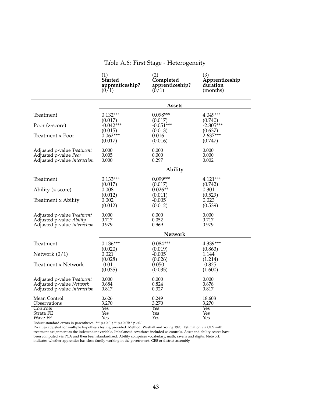<span id="page-45-0"></span>

|                              | (1)             | (2)               | (3)            |  |  |  |  |
|------------------------------|-----------------|-------------------|----------------|--|--|--|--|
|                              | <b>Started</b>  | Completed         | Apprenticeship |  |  |  |  |
|                              | apprenticeship? | apprenticeship?   | duration       |  |  |  |  |
|                              | (0/1)           | (0/1)             | (months)       |  |  |  |  |
|                              | <b>Assets</b>   |                   |                |  |  |  |  |
| Treatment                    | $0.132***$      | $0.098***$        | 4.049***       |  |  |  |  |
|                              | (0.017)         | (0.017)           | (0.740)        |  |  |  |  |
| Poor (z-score)               | $-0.042***$     | $-0.051***$       | $-2.805***$    |  |  |  |  |
|                              | (0.015)         | (0.013)           | (0.637)        |  |  |  |  |
| Treatment x Poor             | $0.062***$      | 0.016             | $2.637***$     |  |  |  |  |
|                              | (0.017)         | (0.016)           | (0.747)        |  |  |  |  |
| Adjusted p-value Treatment   | 0.000           | 0.000             | 0.000          |  |  |  |  |
| Adjusted p-value Poor        | 0.005           | 0.000             | 0.000          |  |  |  |  |
| Adjusted p-value Interaction | 0.000           | 0.297             | 0.002          |  |  |  |  |
|                              |                 | Ability           |                |  |  |  |  |
| Treatment                    | $0.133***$      | $0.099***$        | 4.121***       |  |  |  |  |
| Ability (z-score)            | (0.017)         | (0.017)           | (0.742)        |  |  |  |  |
|                              | 0.008           | $0.026**$         | 0.301          |  |  |  |  |
| Treatment x Ability          | (0.012)         | (0.011)           | (0.529)        |  |  |  |  |
|                              | 0.002           | $-0.005$          | 0.023          |  |  |  |  |
|                              | (0.012)         | (0.012)           | (0.539)        |  |  |  |  |
| Adjusted p-value Treatment   | 0.000           | 0.000             | 0.000          |  |  |  |  |
| Adjusted p-value Ability     | 0.717           | 0.052             | 0.717          |  |  |  |  |
| Adjusted p-value Interaction | 0.979           | 0.969             | 0.979          |  |  |  |  |
|                              | <b>Network</b>  |                   |                |  |  |  |  |
| Treatment                    | $0.136***$      | $0.084***$        | 4.339***       |  |  |  |  |
| Network $(0/1)$              | (0.020)         | (0.019)           | (0.863)        |  |  |  |  |
|                              | 0.021           | $-0.005$          | 1.144          |  |  |  |  |
| <b>Treatment x Network</b>   | (0.028)         | (0.026)           | (1.214)        |  |  |  |  |
|                              | $-0.011$        | 0.050             | $-0.825$       |  |  |  |  |
|                              | (0.035)         | (0.035)           | (1.600)        |  |  |  |  |
| Adjusted p-value Treatment   | 0.000           | 0.000             | 0.000          |  |  |  |  |
| Adjusted p-value Network     | 0.684           | 0.824             | 0.678          |  |  |  |  |
| Adjusted p-value Interaction | 0.817           | 0.327             | 0.817          |  |  |  |  |
| Mean Control                 | 0.626           | 0.249             | 18.608         |  |  |  |  |
| Observations                 | 3,270           | 3,270             | 3,270          |  |  |  |  |
| Controls                     | Yes             | $\gamma_{\rm es}$ | Yes            |  |  |  |  |
| Strata FE                    | Yes             | Yes               | Yes            |  |  |  |  |
| Wave FE                      | Yes             | Yes               | Yes            |  |  |  |  |

Table A.6: First Stage - Heterogeneity

Robust standard errors in parentheses. \*\*\*  $p<0.01$ ; \*\*  $p<0.05$ ; \*  $p<0.1$ 

P-values adjusted for multiple hypothesis testing provided. Method: Westfall and Young 1993. Estimation via OLS with treatment assignment as the independent variable. Imbalanced covariates included as controls. Asset and ability scores have been computed via PCA and then been standardized. Ability comprises vocabulary, math, ravens and digits. Network indicates whether apprentice has close family working in the government, GES or district assembly.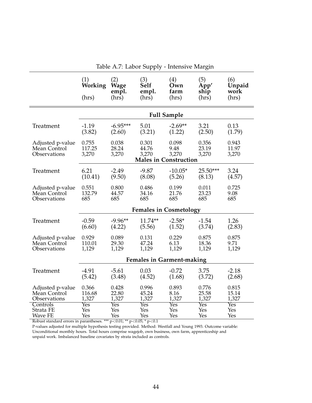<span id="page-46-0"></span>

|                                                  | (1)<br>Working<br>(hrs)       | (2)<br><b>Wage</b><br>empl.<br>$(hr\bar{s})$ | (3)<br>Self<br>empl.<br>(hrs) | (4)<br>Own<br>farm<br>(hrs)                            | (5)<br>App'<br>ship<br>$(hr\bar{s})$ | (6)<br>Unpaid<br>work<br>(hrs) |  |  |
|--------------------------------------------------|-------------------------------|----------------------------------------------|-------------------------------|--------------------------------------------------------|--------------------------------------|--------------------------------|--|--|
|                                                  | <b>Full Sample</b>            |                                              |                               |                                                        |                                      |                                |  |  |
| Treatment                                        | $-1.19$                       | $-6.95***$                                   | 5.01                          | $-2.69**$                                              | 3.21                                 | 0.13                           |  |  |
|                                                  | (3.82)                        | (2.60)                                       | (3.21)                        | (1.22)                                                 | (2.50)                               | (1.79)                         |  |  |
| Adjusted p-value<br>Mean Control<br>Observations | 0.755<br>117.25<br>3,270      | 0.038<br>28.24<br>3,270                      | 0.301<br>44.76<br>3,270       | 0.098<br>9.48<br>3,270<br><b>Males in Construction</b> | 0.356<br>23.19<br>3,270              | 0.943<br>11.97<br>3,270        |  |  |
| Treatment                                        | 6.21                          | $-2.49$                                      | $-9.87$                       | $-10.05*$                                              | $25.50***$                           | 3.24                           |  |  |
|                                                  | (10.41)                       | (9.50)                                       | (8.08)                        | (5.26)                                                 | (8.13)                               | (4.57)                         |  |  |
| Adjusted p-value                                 | 0.551                         | 0.800                                        | 0.486                         | 0.199                                                  | 0.011                                | 0.725                          |  |  |
| Mean Control                                     | 132.79                        | 44.57                                        | 34.16                         | 21.76                                                  | 23.23                                | 9.08                           |  |  |
| Observations                                     | 685                           | 685                                          | 685                           | 685                                                    | 685                                  | 685                            |  |  |
|                                                  | <b>Females in Cosmetology</b> |                                              |                               |                                                        |                                      |                                |  |  |
| Treatment                                        | $-0.59$                       | $-9.96**$                                    | $11.74**$                     | $-2.58*$                                               | $-1.54$                              | 1.26                           |  |  |
|                                                  | (6.60)                        | (4.22)                                       | (5.56)                        | (1.52)                                                 | (3.74)                               | (2.83)                         |  |  |
| Adjusted p-value                                 | 0.929                         | 0.089                                        | 0.131                         | 0.229                                                  | 0.875                                | 0.875                          |  |  |
| Mean Control                                     | 110.01                        | 29.30                                        | 47.24                         | 6.13                                                   | 18.36                                | 9.71                           |  |  |
| Observations                                     | 1,129                         | 1,129                                        | 1,129                         | 1,129                                                  | 1,129                                | 1,129                          |  |  |
|                                                  |                               |                                              |                               | <b>Females in Garment-making</b>                       |                                      |                                |  |  |
| Treatment                                        | $-4.91$                       | $-5.61$                                      | 0.03                          | $-0.72$                                                | 3.75                                 | $-2.18$                        |  |  |
|                                                  | (5.42)                        | (3.48)                                       | (4.52)                        | (1.68)                                                 | (3.72)                               | (2.68)                         |  |  |
| Adjusted p-value                                 | 0.366                         | 0.428                                        | 0.996                         | 0.893                                                  | 0.776                                | 0.815                          |  |  |
| Mean Control                                     | 116.68                        | 22.80                                        | 45.24                         | 8.16                                                   | 25.58                                | 15.14                          |  |  |
| Observations                                     | 1,327                         | 1,327                                        | 1,327                         | 1,327                                                  | 1,327                                | 1,327                          |  |  |
| Controls                                         | $\overline{\mathrm{Yes}}$     | $\overline{\mathrm{Yes}}$                    | $\overline{\mathrm{Yes}}$     | $\overline{\mathrm{Yes}}$                              | $\overline{\mathrm{Yes}}$            | $\overline{\mathrm{Yes}}$      |  |  |
| Strata FE                                        | Yes                           | Yes                                          | Yes                           | Yes                                                    | Yes                                  | Yes                            |  |  |
| Wave FE                                          | Yes                           | Yes                                          | Yes                           | Yes                                                    | Yes                                  | Yes                            |  |  |

Table A.7: Labor Supply - Intensive Margin

Robust standard errors in parantheses. \*\*\*  $p<0.01$ ; \*\*  $p<0.05$ ; \*  $p<0.1$ 

P-values adjusted for multiple hypothesis testing provided. Method: Westfall and Young 1993. Outcome variable: Unconditional monthly hours. Total hours comprise wagejob, own business, own farm, apprenticeship and unpaid work. Imbalanced baseline covariates by strata included as controls.